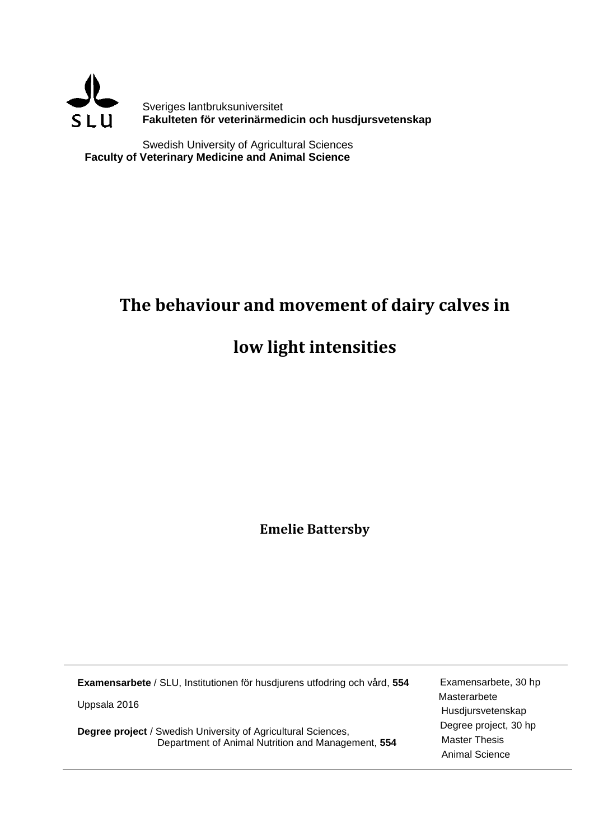

Swedish University of Agricultural Sciences **Faculty of Veterinary Medicine and Animal Science**

## **The behaviour and movement of dairy calves in**

# **low light intensities**

**Emelie Battersby**

| Examensarbete / SLU, Institutionen för husdjurens utfodring och vård, 554 | Examensarbete, 30 hp  |
|---------------------------------------------------------------------------|-----------------------|
| Uppsala 2016                                                              | Masterarbete          |
|                                                                           | Husdjursvetenskap     |
| <b>Degree project / Swedish University of Agricultural Sciences,</b>      | Degree project, 30 hp |
| Department of Animal Nutrition and Management, 554                        | <b>Master Thesis</b>  |
|                                                                           | Animal Science        |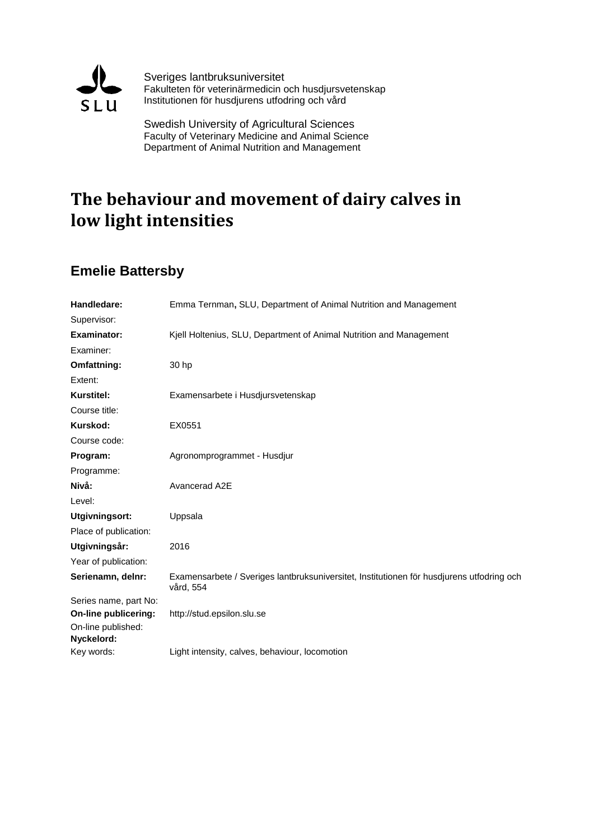

Sveriges lantbruksuniversitet Fakulteten för veterinärmedicin och husdjursvetenskap Institutionen för husdjurens utfodring och vård

Swedish University of Agricultural Sciences Faculty of Veterinary Medicine and Animal Science Department of Animal Nutrition and Management

## **The behaviour and movement of dairy calves in low light intensities**

### **Emelie Battersby**

| Handledare:           | Emma Ternman, SLU, Department of Animal Nutrition and Management                                       |
|-----------------------|--------------------------------------------------------------------------------------------------------|
| Supervisor:           |                                                                                                        |
| <b>Examinator:</b>    | Kjell Holtenius, SLU, Department of Animal Nutrition and Management                                    |
| Examiner:             |                                                                                                        |
| Omfattning:           | 30 hp                                                                                                  |
| Extent:               |                                                                                                        |
| <b>Kurstitel:</b>     | Examensarbete i Husdjursvetenskap                                                                      |
| Course title:         |                                                                                                        |
| Kurskod:              | EX0551                                                                                                 |
| Course code:          |                                                                                                        |
| Program:              | Agronomprogrammet - Husdjur                                                                            |
| Programme:            |                                                                                                        |
| Nivå:                 | Avancerad A2E                                                                                          |
| Level:                |                                                                                                        |
| Utgivningsort:        | Uppsala                                                                                                |
| Place of publication: |                                                                                                        |
| Utgivningsår:         | 2016                                                                                                   |
| Year of publication:  |                                                                                                        |
| Serienamn, delnr:     | Examensarbete / Sveriges lantbruksuniversitet, Institutionen för husdjurens utfodring och<br>vård, 554 |
| Series name, part No: |                                                                                                        |
| On-line publicering:  | http://stud.epsilon.slu.se                                                                             |
| On-line published:    |                                                                                                        |
| Nyckelord:            |                                                                                                        |
| Key words:            | Light intensity, calves, behaviour, locomotion                                                         |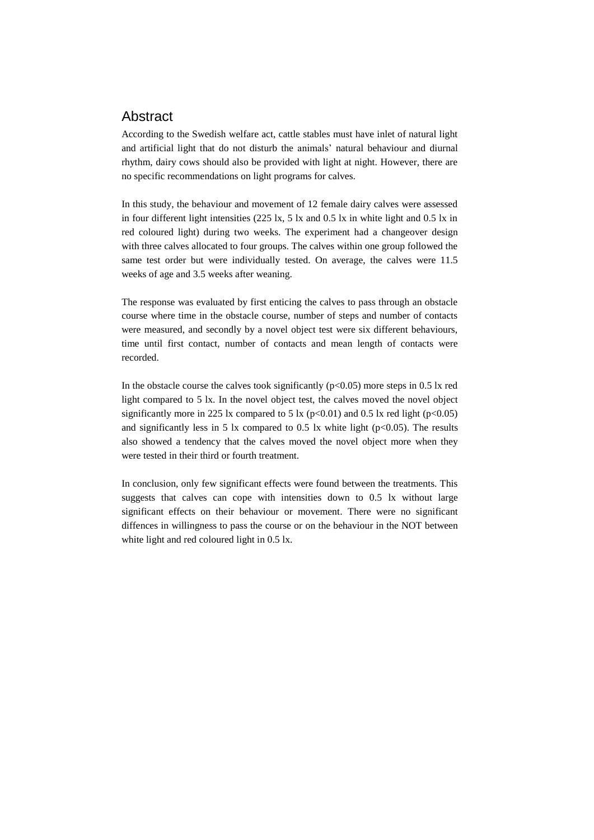### Abstract

According to the Swedish welfare act, cattle stables must have inlet of natural light and artificial light that do not disturb the animals' natural behaviour and diurnal rhythm, dairy cows should also be provided with light at night. However, there are no specific recommendations on light programs for calves.

In this study, the behaviour and movement of 12 female dairy calves were assessed in four different light intensities (225 lx, 5 lx and 0.5 lx in white light and 0.5 lx in red coloured light) during two weeks. The experiment had a changeover design with three calves allocated to four groups. The calves within one group followed the same test order but were individually tested. On average, the calves were 11.5 weeks of age and 3.5 weeks after weaning.

The response was evaluated by first enticing the calves to pass through an obstacle course where time in the obstacle course, number of steps and number of contacts were measured, and secondly by a novel object test were six different behaviours, time until first contact, number of contacts and mean length of contacts were recorded.

In the obstacle course the calves took significantly  $(p<0.05)$  more steps in 0.5 lx red light compared to 5 lx. In the novel object test, the calves moved the novel object significantly more in 225 lx compared to 5 lx ( $p<0.01$ ) and 0.5 lx red light ( $p<0.05$ ) and significantly less in 5 lx compared to 0.5 lx white light ( $p<0.05$ ). The results also showed a tendency that the calves moved the novel object more when they were tested in their third or fourth treatment.

In conclusion, only few significant effects were found between the treatments. This suggests that calves can cope with intensities down to 0.5 lx without large significant effects on their behaviour or movement. There were no significant diffences in willingness to pass the course or on the behaviour in the NOT between white light and red coloured light in 0.5 lx.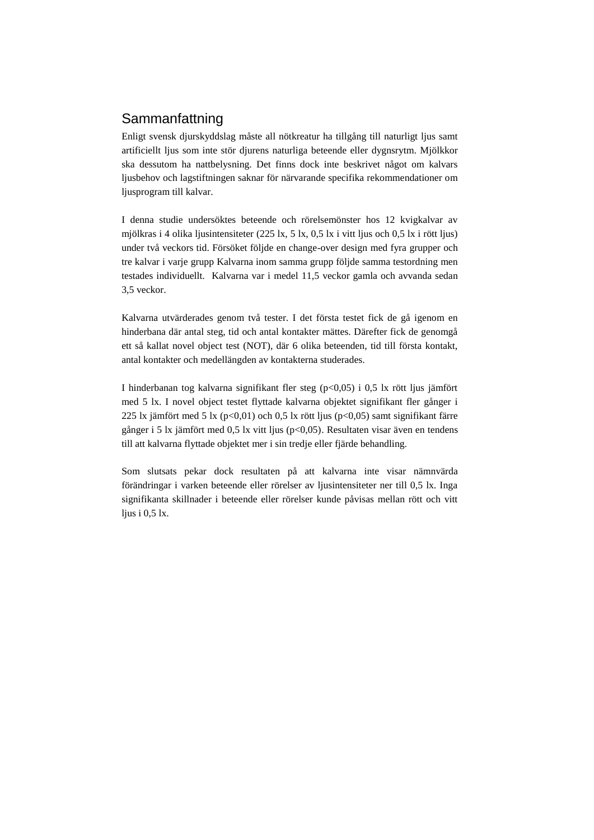### Sammanfattning

Enligt svensk djurskyddslag måste all nötkreatur ha tillgång till naturligt ljus samt artificiellt ljus som inte stör djurens naturliga beteende eller dygnsrytm. Mjölkkor ska dessutom ha nattbelysning. Det finns dock inte beskrivet något om kalvars ljusbehov och lagstiftningen saknar för närvarande specifika rekommendationer om ljusprogram till kalvar.

I denna studie undersöktes beteende och rörelsemönster hos 12 kvigkalvar av mjölkras i 4 olika ljusintensiteter (225 lx, 5 lx, 0,5 lx i vitt ljus och 0,5 lx i rött ljus) under två veckors tid. Försöket följde en change-over design med fyra grupper och tre kalvar i varje grupp Kalvarna inom samma grupp följde samma testordning men testades individuellt. Kalvarna var i medel 11,5 veckor gamla och avvanda sedan 3,5 veckor.

Kalvarna utvärderades genom två tester. I det första testet fick de gå igenom en hinderbana där antal steg, tid och antal kontakter mättes. Därefter fick de genomgå ett så kallat novel object test (NOT), där 6 olika beteenden, tid till första kontakt, antal kontakter och medellängden av kontakterna studerades.

I hinderbanan tog kalvarna signifikant fler steg (p<0,05) i 0,5 lx rött ljus jämfört med 5 lx. I novel object testet flyttade kalvarna objektet signifikant fler gånger i 225 lx jämfört med 5 lx ( $p<0,01$ ) och 0,5 lx rött ljus ( $p<0,05$ ) samt signifikant färre gånger i 5 lx jämfört med 0,5 lx vitt ljus (p<0,05). Resultaten visar även en tendens till att kalvarna flyttade objektet mer i sin tredje eller fjärde behandling.

Som slutsats pekar dock resultaten på att kalvarna inte visar nämnvärda förändringar i varken beteende eller rörelser av ljusintensiteter ner till 0,5 lx. Inga signifikanta skillnader i beteende eller rörelser kunde påvisas mellan rött och vitt ljus i 0,5 lx.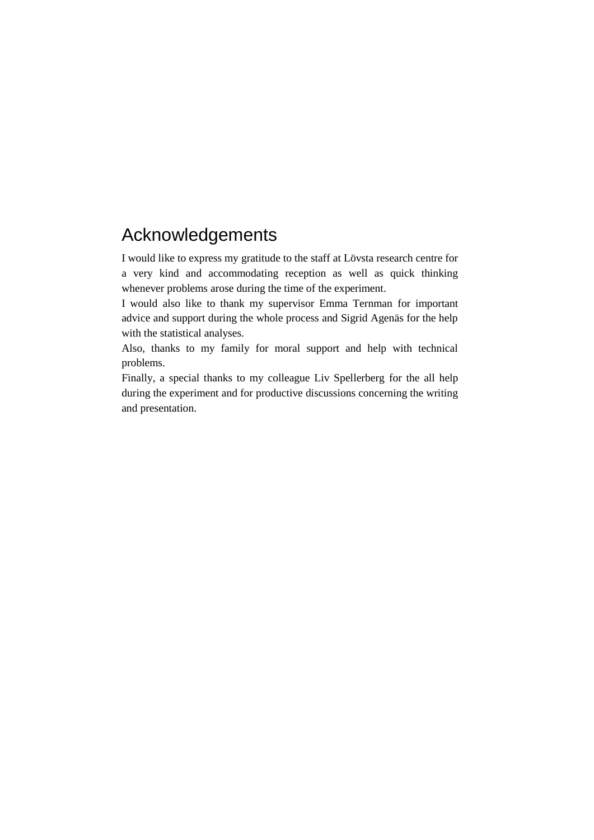## Acknowledgements

I would like to express my gratitude to the staff at Lövsta research centre for a very kind and accommodating reception as well as quick thinking whenever problems arose during the time of the experiment.

I would also like to thank my supervisor Emma Ternman for important advice and support during the whole process and Sigrid Agenäs for the help with the statistical analyses.

Also, thanks to my family for moral support and help with technical problems.

Finally, a special thanks to my colleague Liv Spellerberg for the all help during the experiment and for productive discussions concerning the writing and presentation.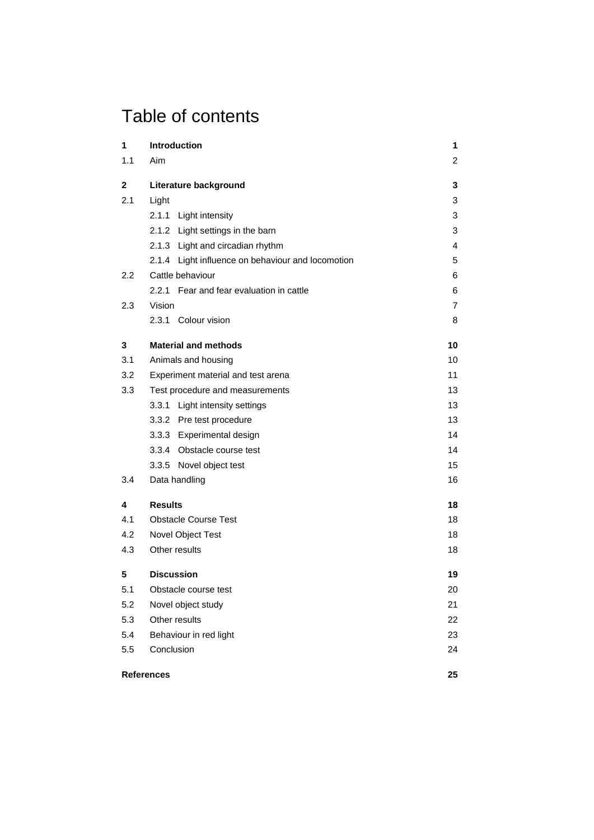## Table of contents

| 1   | Introduction                                      | 1              |
|-----|---------------------------------------------------|----------------|
| 1.1 | Aim                                               | 2              |
| 2   | Literature background                             | 3              |
| 2.1 | Light                                             | 3              |
|     | 2.1.1 Light intensity                             | 3              |
|     | 2.1.2 Light settings in the barn                  | 3              |
|     | 2.1.3 Light and circadian rhythm                  | $\overline{4}$ |
|     | 2.1.4 Light influence on behaviour and locomotion | 5              |
| 2.2 | Cattle behaviour                                  | 6              |
|     | 2.2.1 Fear and fear evaluation in cattle          | 6              |
| 2.3 | Vision                                            | $\overline{7}$ |
|     | 2.3.1 Colour vision                               | 8              |
| 3   | <b>Material and methods</b>                       | 10             |
| 3.1 | Animals and housing                               | 10             |
| 3.2 | Experiment material and test arena                | 11             |
| 3.3 | Test procedure and measurements                   | 13             |
|     | 3.3.1 Light intensity settings                    | 13             |
|     | 3.3.2 Pre test procedure                          | 13             |
|     | 3.3.3 Experimental design                         | 14             |
|     | 3.3.4 Obstacle course test                        | 14             |
|     | 3.3.5 Novel object test                           | 15             |
| 3.4 | Data handling                                     | 16             |
| 4   | <b>Results</b>                                    | 18             |
| 4.1 | <b>Obstacle Course Test</b>                       | 18             |
| 4.2 | Novel Object Test                                 | 18             |
| 4.3 | Other results                                     | 18             |
| 5   | <b>Discussion</b>                                 | 19             |
| 5.1 | Obstacle course test                              | 20             |
| 5.2 | Novel object study                                | 21             |
| 5.3 | Other results                                     | 22             |
| 5.4 | Behaviour in red light                            | 23             |
| 5.5 | Conclusion                                        | 24             |
|     | <b>References</b>                                 | 25             |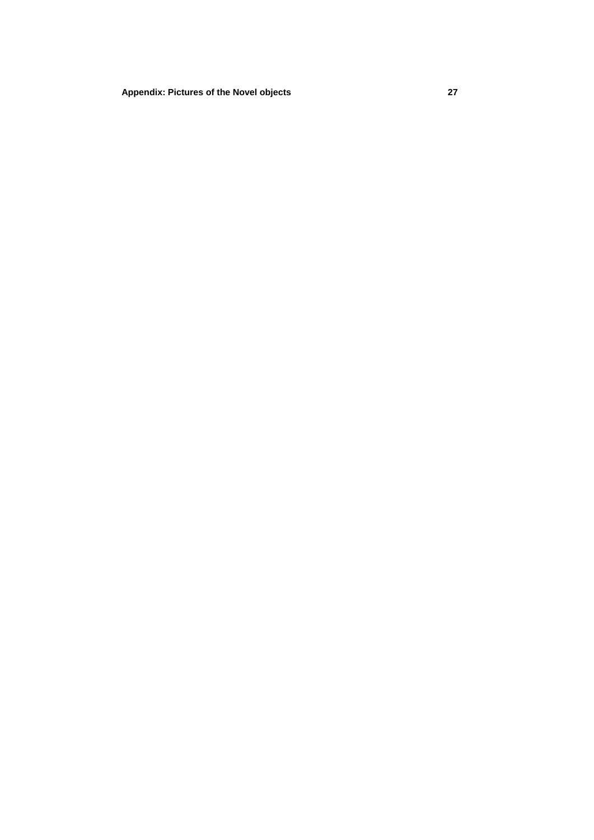**[Appendix: Pictures of the Novel objects](#page-36-0) 27**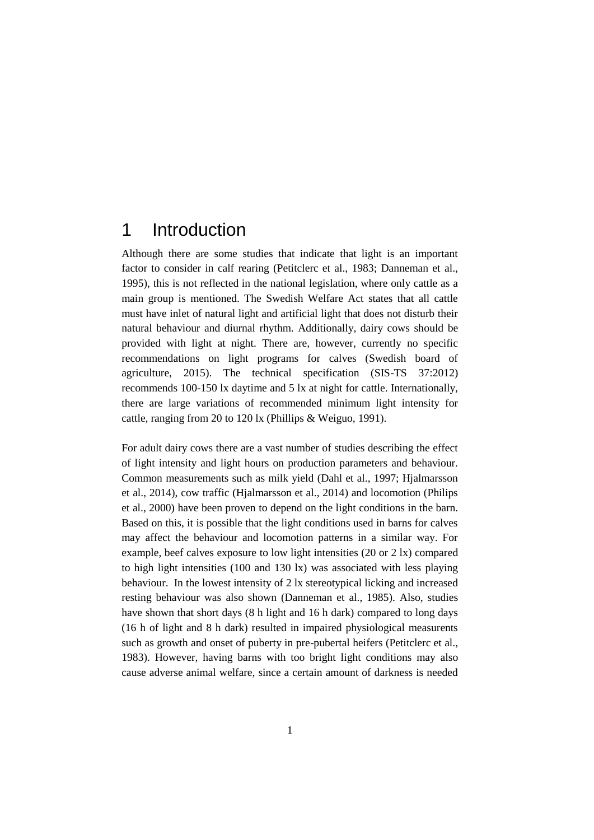### 1 Introduction

Although there are some studies that indicate that light is an important factor to consider in calf rearing (Petitclerc et al., 1983; Danneman et al., 1995), this is not reflected in the national legislation, where only cattle as a main group is mentioned. The Swedish Welfare Act states that all cattle must have inlet of natural light and artificial light that does not disturb their natural behaviour and diurnal rhythm. Additionally, dairy cows should be provided with light at night. There are, however, currently no specific recommendations on light programs for calves (Swedish board of agriculture, 2015). The technical specification (SIS-TS 37:2012) recommends 100-150 lx daytime and 5 lx at night for cattle. Internationally, there are large variations of recommended minimum light intensity for cattle, ranging from 20 to 120 lx (Phillips & Weiguo, 1991).

For adult dairy cows there are a vast number of studies describing the effect of light intensity and light hours on production parameters and behaviour. Common measurements such as milk yield (Dahl et al., 1997; Hjalmarsson et al., 2014), cow traffic (Hjalmarsson et al., 2014) and locomotion (Philips et al., 2000) have been proven to depend on the light conditions in the barn. Based on this, it is possible that the light conditions used in barns for calves may affect the behaviour and locomotion patterns in a similar way. For example, beef calves exposure to low light intensities (20 or 2 lx) compared to high light intensities (100 and 130 lx) was associated with less playing behaviour. In the lowest intensity of 2 lx stereotypical licking and increased resting behaviour was also shown (Danneman et al., 1985). Also, studies have shown that short days (8 h light and 16 h dark) compared to long days (16 h of light and 8 h dark) resulted in impaired physiological measurents such as growth and onset of puberty in pre-pubertal heifers (Petitclerc et al., 1983). However, having barns with too bright light conditions may also cause adverse animal welfare, since a certain amount of darkness is needed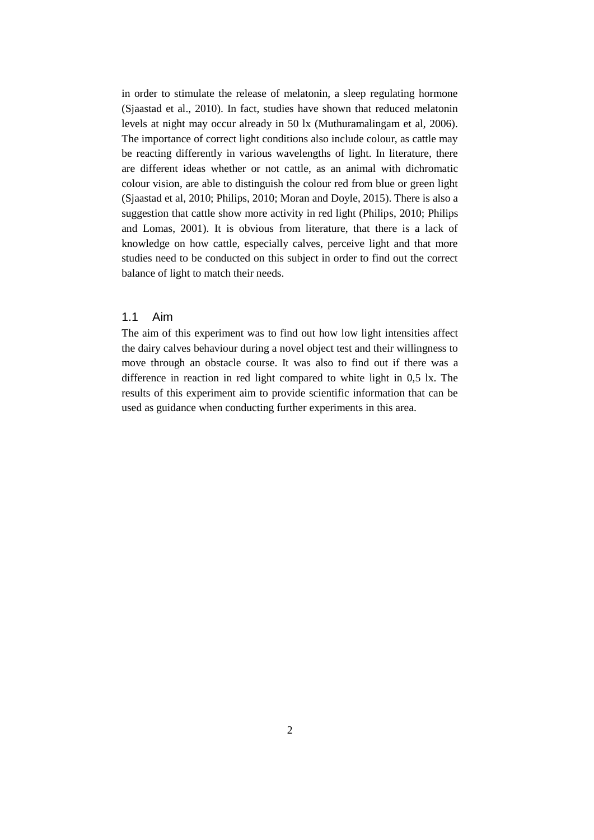in order to stimulate the release of melatonin, a sleep regulating hormone (Sjaastad et al., 2010). In fact, studies have shown that reduced melatonin levels at night may occur already in 50 lx (Muthuramalingam et al, 2006). The importance of correct light conditions also include colour, as cattle may be reacting differently in various wavelengths of light. In literature, there are different ideas whether or not cattle, as an animal with dichromatic colour vision, are able to distinguish the colour red from blue or green light (Sjaastad et al, 2010; Philips, 2010; Moran and Doyle, 2015). There is also a suggestion that cattle show more activity in red light (Philips, 2010; Philips and Lomas, 2001). It is obvious from literature, that there is a lack of knowledge on how cattle, especially calves, perceive light and that more studies need to be conducted on this subject in order to find out the correct balance of light to match their needs.

#### <span id="page-9-0"></span>1.1 Aim

The aim of this experiment was to find out how low light intensities affect the dairy calves behaviour during a novel object test and their willingness to move through an obstacle course. It was also to find out if there was a difference in reaction in red light compared to white light in 0,5 lx. The results of this experiment aim to provide scientific information that can be used as guidance when conducting further experiments in this area.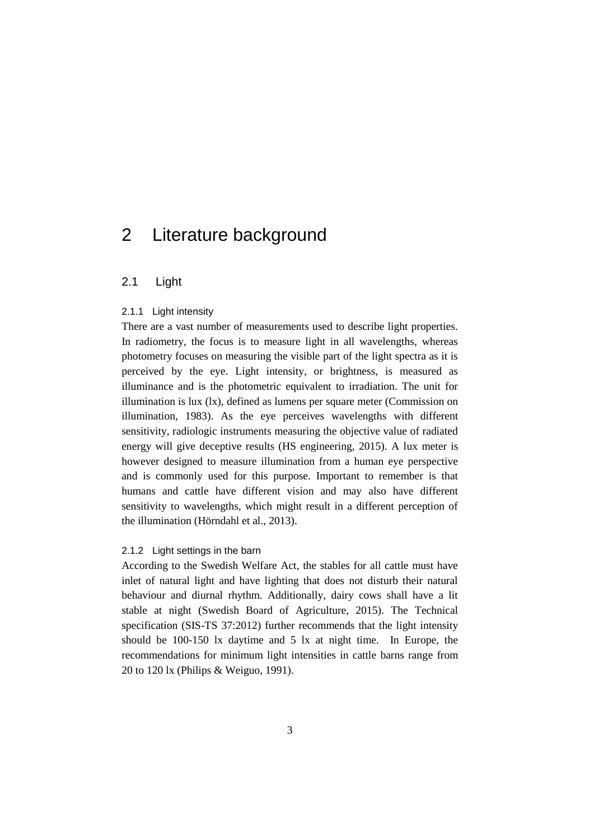### <span id="page-10-1"></span><span id="page-10-0"></span>2 Literature background

#### <span id="page-10-2"></span>2.1 Light

#### 2.1.1 Light intensity

There are a vast number of measurements used to describe light properties. In radiometry, the focus is to measure light in all wavelengths, whereas photometry focuses on measuring the visible part of the light spectra as it is perceived by the eye. Light intensity, or brightness, is measured as illuminance and is the photometric equivalent to irradiation. The unit for illumination is lux (lx), defined as lumens per square meter (Commission on illumination, 1983). As the eye perceives wavelengths with different sensitivity, radiologic instruments measuring the objective value of radiated energy will give deceptive results (HS engineering, 2015). A lux meter is however designed to measure illumination from a human eye perspective and is commonly used for this purpose. Important to remember is that humans and cattle have different vision and may also have different sensitivity to wavelengths, which might result in a different perception of the illumination (Hörndahl et al., 2013).

#### <span id="page-10-3"></span>2.1.2 Light settings in the barn

According to the Swedish Welfare Act, the stables for all cattle must have inlet of natural light and have lighting that does not disturb their natural behaviour and diurnal rhythm. Additionally, dairy cows shall have a lit stable at night (Swedish Board of Agriculture, 2015). The Technical specification (SIS-TS 37:2012) further recommends that the light intensity should be 100-150 lx daytime and 5 lx at night time. In Europe, the recommendations for minimum light intensities in cattle barns range from 20 to 120 lx (Philips & Weiguo, 1991).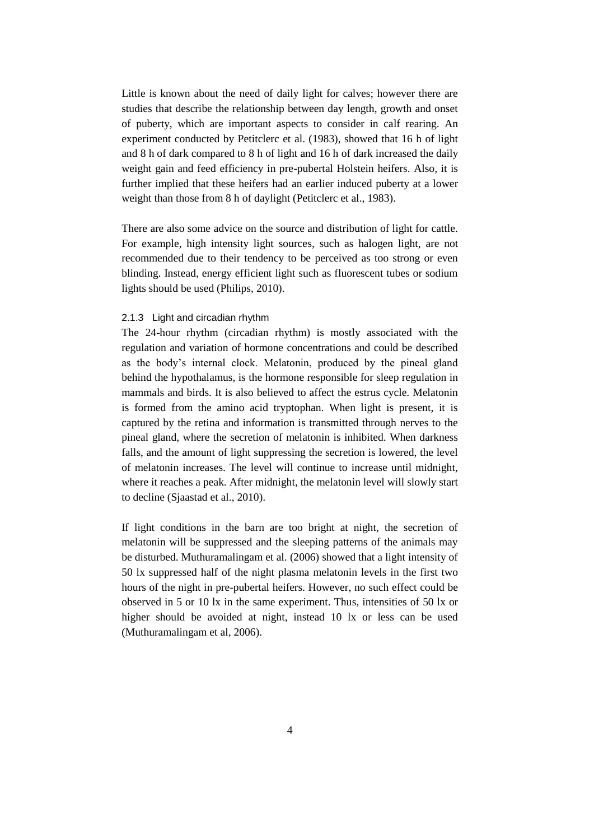Little is known about the need of daily light for calves; however there are studies that describe the relationship between day length, growth and onset of puberty, which are important aspects to consider in calf rearing. An experiment conducted by Petitclerc et al. (1983), showed that 16 h of light and 8 h of dark compared to 8 h of light and 16 h of dark increased the daily weight gain and feed efficiency in pre-pubertal Holstein heifers. Also, it is further implied that these heifers had an earlier induced puberty at a lower weight than those from 8 h of daylight (Petitclerc et al., 1983).

There are also some advice on the source and distribution of light for cattle. For example, high intensity light sources, such as halogen light, are not recommended due to their tendency to be perceived as too strong or even blinding. Instead, energy efficient light such as fluorescent tubes or sodium lights should be used (Philips, 2010).

#### <span id="page-11-0"></span>2.1.3 Light and circadian rhythm

The 24-hour rhythm (circadian rhythm) is mostly associated with the regulation and variation of hormone concentrations and could be described as the body's internal clock. Melatonin, produced by the pineal gland behind the hypothalamus, is the hormone responsible for sleep regulation in mammals and birds. It is also believed to affect the estrus cycle. Melatonin is formed from the amino acid tryptophan. When light is present, it is captured by the retina and information is transmitted through nerves to the pineal gland, where the secretion of melatonin is inhibited. When darkness falls, and the amount of light suppressing the secretion is lowered, the level of melatonin increases. The level will continue to increase until midnight, where it reaches a peak. After midnight, the melatonin level will slowly start to decline (Sjaastad et al., 2010).

If light conditions in the barn are too bright at night, the secretion of melatonin will be suppressed and the sleeping patterns of the animals may be disturbed. Muthuramalingam et al. (2006) showed that a light intensity of 50 lx suppressed half of the night plasma melatonin levels in the first two hours of the night in pre-pubertal heifers. However, no such effect could be observed in 5 or 10 lx in the same experiment. Thus, intensities of 50 lx or higher should be avoided at night, instead 10 lx or less can be used (Muthuramalingam et al, 2006).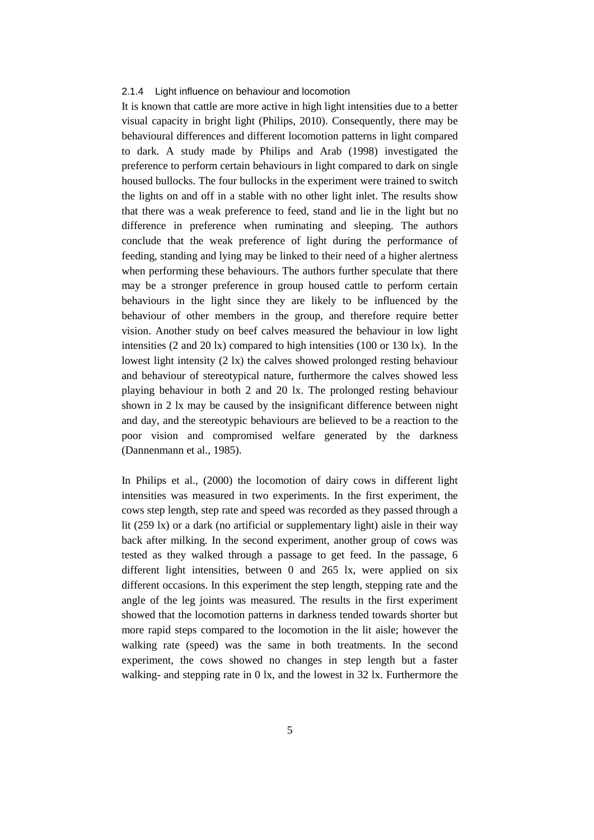#### <span id="page-12-0"></span>2.1.4 Light influence on behaviour and locomotion

It is known that cattle are more active in high light intensities due to a better visual capacity in bright light (Philips, 2010). Consequently, there may be behavioural differences and different locomotion patterns in light compared to dark. A study made by Philips and Arab (1998) investigated the preference to perform certain behaviours in light compared to dark on single housed bullocks. The four bullocks in the experiment were trained to switch the lights on and off in a stable with no other light inlet. The results show that there was a weak preference to feed, stand and lie in the light but no difference in preference when ruminating and sleeping. The authors conclude that the weak preference of light during the performance of feeding, standing and lying may be linked to their need of a higher alertness when performing these behaviours. The authors further speculate that there may be a stronger preference in group housed cattle to perform certain behaviours in the light since they are likely to be influenced by the behaviour of other members in the group, and therefore require better vision. Another study on beef calves measured the behaviour in low light intensities (2 and 20 lx) compared to high intensities (100 or 130 lx). In the lowest light intensity (2 lx) the calves showed prolonged resting behaviour and behaviour of stereotypical nature, furthermore the calves showed less playing behaviour in both 2 and 20 lx. The prolonged resting behaviour shown in 2 lx may be caused by the insignificant difference between night and day, and the stereotypic behaviours are believed to be a reaction to the poor vision and compromised welfare generated by the darkness (Dannenmann et al., 1985).

In Philips et al., (2000) the locomotion of dairy cows in different light intensities was measured in two experiments. In the first experiment, the cows step length, step rate and speed was recorded as they passed through a lit (259 lx) or a dark (no artificial or supplementary light) aisle in their way back after milking. In the second experiment, another group of cows was tested as they walked through a passage to get feed. In the passage, 6 different light intensities, between 0 and 265 lx, were applied on six different occasions. In this experiment the step length, stepping rate and the angle of the leg joints was measured. The results in the first experiment showed that the locomotion patterns in darkness tended towards shorter but more rapid steps compared to the locomotion in the lit aisle; however the walking rate (speed) was the same in both treatments. In the second experiment, the cows showed no changes in step length but a faster walking- and stepping rate in 0 lx, and the lowest in 32 lx. Furthermore the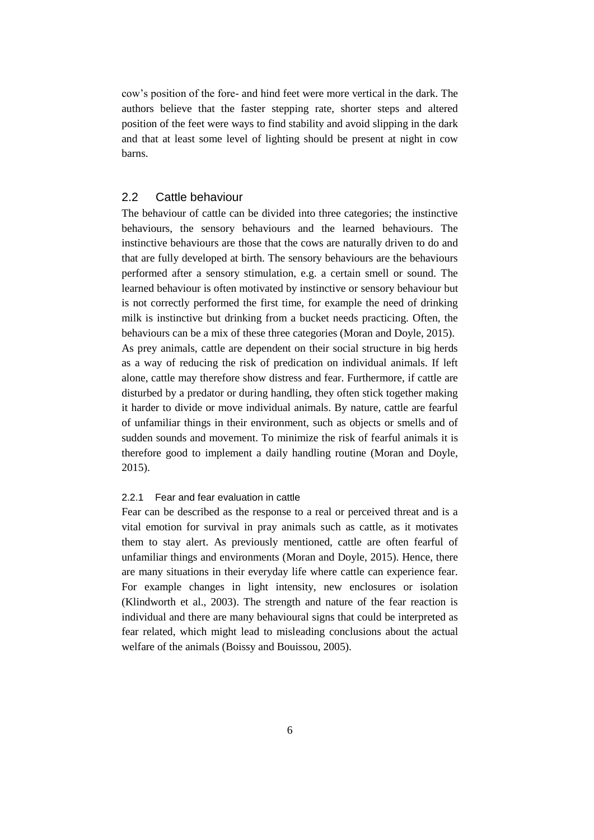cow's position of the fore- and hind feet were more vertical in the dark. The authors believe that the faster stepping rate, shorter steps and altered position of the feet were ways to find stability and avoid slipping in the dark and that at least some level of lighting should be present at night in cow barns.

#### <span id="page-13-0"></span>2.2 Cattle behaviour

The behaviour of cattle can be divided into three categories; the instinctive behaviours, the sensory behaviours and the learned behaviours. The instinctive behaviours are those that the cows are naturally driven to do and that are fully developed at birth. The sensory behaviours are the behaviours performed after a sensory stimulation, e.g. a certain smell or sound. The learned behaviour is often motivated by instinctive or sensory behaviour but is not correctly performed the first time, for example the need of drinking milk is instinctive but drinking from a bucket needs practicing. Often, the behaviours can be a mix of these three categories (Moran and Doyle, 2015). As prey animals, cattle are dependent on their social structure in big herds as a way of reducing the risk of predication on individual animals. If left alone, cattle may therefore show distress and fear. Furthermore, if cattle are disturbed by a predator or during handling, they often stick together making it harder to divide or move individual animals. By nature, cattle are fearful of unfamiliar things in their environment, such as objects or smells and of sudden sounds and movement. To minimize the risk of fearful animals it is therefore good to implement a daily handling routine (Moran and Doyle, 2015).

#### <span id="page-13-1"></span>2.2.1 Fear and fear evaluation in cattle

Fear can be described as the response to a real or perceived threat and is a vital emotion for survival in pray animals such as cattle, as it motivates them to stay alert. As previously mentioned, cattle are often fearful of unfamiliar things and environments (Moran and Doyle, 2015). Hence, there are many situations in their everyday life where cattle can experience fear. For example changes in light intensity, new enclosures or isolation (Klindworth et al., 2003). The strength and nature of the fear reaction is individual and there are many behavioural signs that could be interpreted as fear related, which might lead to misleading conclusions about the actual welfare of the animals (Boissy and Bouissou, 2005).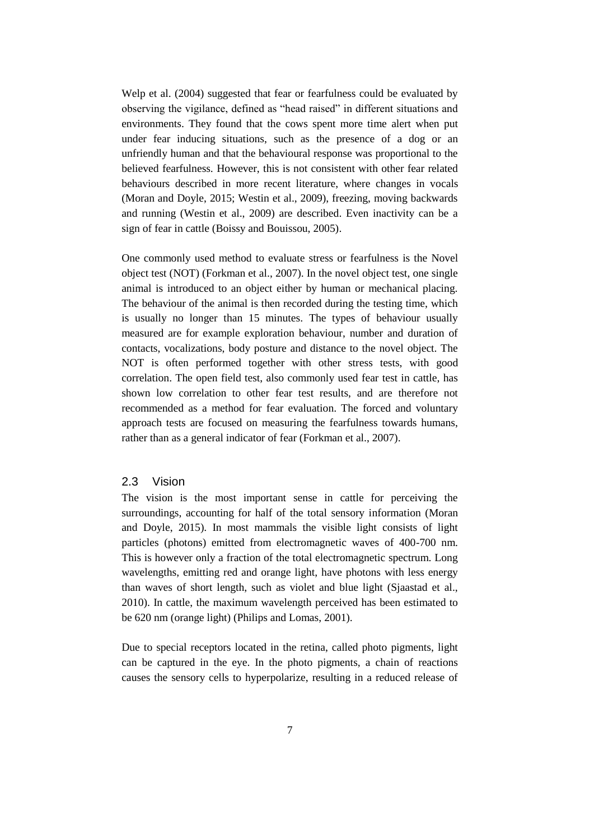Welp et al. (2004) suggested that fear or fearfulness could be evaluated by observing the vigilance, defined as "head raised" in different situations and environments. They found that the cows spent more time alert when put under fear inducing situations, such as the presence of a dog or an unfriendly human and that the behavioural response was proportional to the believed fearfulness. However, this is not consistent with other fear related behaviours described in more recent literature, where changes in vocals (Moran and Doyle, 2015; Westin et al., 2009), freezing, moving backwards and running (Westin et al., 2009) are described. Even inactivity can be a sign of fear in cattle (Boissy and Bouissou, 2005).

One commonly used method to evaluate stress or fearfulness is the Novel object test (NOT) (Forkman et al., 2007). In the novel object test, one single animal is introduced to an object either by human or mechanical placing. The behaviour of the animal is then recorded during the testing time, which is usually no longer than 15 minutes. The types of behaviour usually measured are for example exploration behaviour, number and duration of contacts, vocalizations, body posture and distance to the novel object. The NOT is often performed together with other stress tests, with good correlation. The open field test, also commonly used fear test in cattle, has shown low correlation to other fear test results, and are therefore not recommended as a method for fear evaluation. The forced and voluntary approach tests are focused on measuring the fearfulness towards humans, rather than as a general indicator of fear (Forkman et al., 2007).

#### <span id="page-14-0"></span>2.3 Vision

The vision is the most important sense in cattle for perceiving the surroundings, accounting for half of the total sensory information (Moran and Doyle, 2015). In most mammals the visible light consists of light particles (photons) emitted from electromagnetic waves of 400-700 nm. This is however only a fraction of the total electromagnetic spectrum. Long wavelengths, emitting red and orange light, have photons with less energy than waves of short length, such as violet and blue light (Sjaastad et al., 2010). In cattle, the maximum wavelength perceived has been estimated to be 620 nm (orange light) (Philips and Lomas, 2001).

Due to special receptors located in the retina, called photo pigments, light can be captured in the eye. In the photo pigments, a chain of reactions causes the sensory cells to hyperpolarize, resulting in a reduced release of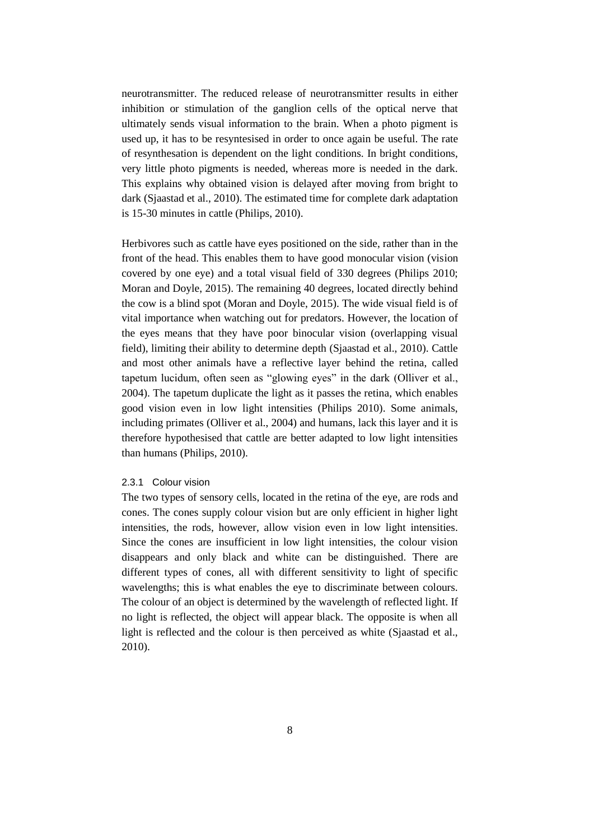neurotransmitter. The reduced release of neurotransmitter results in either inhibition or stimulation of the ganglion cells of the optical nerve that ultimately sends visual information to the brain. When a photo pigment is used up, it has to be resyntesised in order to once again be useful. The rate of resynthesation is dependent on the light conditions. In bright conditions, very little photo pigments is needed, whereas more is needed in the dark. This explains why obtained vision is delayed after moving from bright to dark (Sjaastad et al., 2010). The estimated time for complete dark adaptation is 15-30 minutes in cattle (Philips, 2010).

Herbivores such as cattle have eyes positioned on the side, rather than in the front of the head. This enables them to have good monocular vision (vision covered by one eye) and a total visual field of 330 degrees (Philips 2010; Moran and Doyle, 2015). The remaining 40 degrees, located directly behind the cow is a blind spot (Moran and Doyle, 2015). The wide visual field is of vital importance when watching out for predators. However, the location of the eyes means that they have poor binocular vision (overlapping visual field), limiting their ability to determine depth (Sjaastad et al., 2010). Cattle and most other animals have a reflective layer behind the retina, called tapetum lucidum, often seen as "glowing eyes" in the dark (Olliver et al., 2004). The tapetum duplicate the light as it passes the retina, which enables good vision even in low light intensities (Philips 2010). Some animals, including primates (Olliver et al., 2004) and humans, lack this layer and it is therefore hypothesised that cattle are better adapted to low light intensities than humans (Philips, 2010).

#### <span id="page-15-0"></span>2.3.1 Colour vision

The two types of sensory cells, located in the retina of the eye, are rods and cones. The cones supply colour vision but are only efficient in higher light intensities, the rods, however, allow vision even in low light intensities. Since the cones are insufficient in low light intensities, the colour vision disappears and only black and white can be distinguished. There are different types of cones, all with different sensitivity to light of specific wavelengths; this is what enables the eye to discriminate between colours. The colour of an object is determined by the wavelength of reflected light. If no light is reflected, the object will appear black. The opposite is when all light is reflected and the colour is then perceived as white (Sjaastad et al., 2010).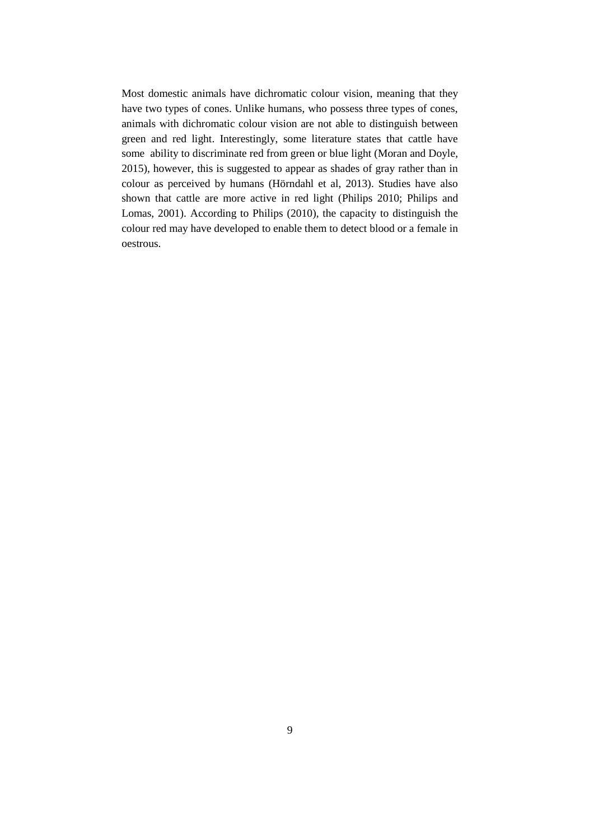Most domestic animals have dichromatic colour vision, meaning that they have two types of cones. Unlike humans, who possess three types of cones, animals with dichromatic colour vision are not able to distinguish between green and red light. Interestingly, some literature states that cattle have some ability to discriminate red from green or blue light (Moran and Doyle, 2015), however, this is suggested to appear as shades of gray rather than in colour as perceived by humans (Hörndahl et al, 2013). Studies have also shown that cattle are more active in red light (Philips 2010; Philips and Lomas, 2001). According to Philips (2010), the capacity to distinguish the colour red may have developed to enable them to detect blood or a female in oestrous.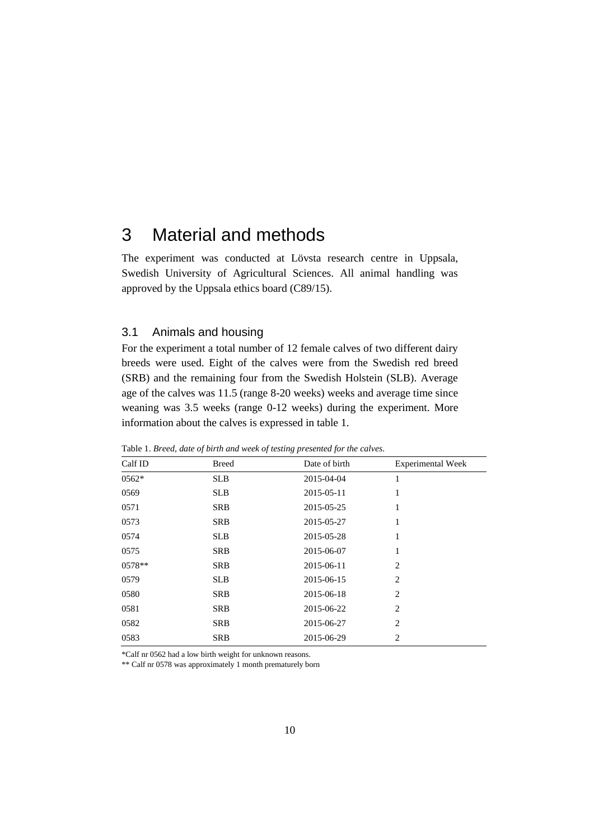### <span id="page-17-0"></span>3 Material and methods

The experiment was conducted at Lövsta research centre in Uppsala, Swedish University of Agricultural Sciences. All animal handling was approved by the Uppsala ethics board (C89/15).

#### <span id="page-17-1"></span>3.1 Animals and housing

For the experiment a total number of 12 female calves of two different dairy breeds were used. Eight of the calves were from the Swedish red breed (SRB) and the remaining four from the Swedish Holstein (SLB). Average age of the calves was 11.5 (range 8-20 weeks) weeks and average time since weaning was 3.5 weeks (range 0-12 weeks) during the experiment. More information about the calves is expressed in table 1.

| Calf ID | <b>Breed</b> | Date of birth | <b>Experimental Week</b> |
|---------|--------------|---------------|--------------------------|
| 0562*   | <b>SLB</b>   | 2015-04-04    | 1                        |
| 0569    | <b>SLB</b>   | 2015-05-11    | 1                        |
| 0571    | <b>SRB</b>   | 2015-05-25    | 1                        |
| 0573    | <b>SRB</b>   | 2015-05-27    | 1                        |
| 0574    | <b>SLB</b>   | 2015-05-28    | 1                        |
| 0575    | <b>SRB</b>   | 2015-06-07    | 1                        |
| 0578**  | <b>SRB</b>   | 2015-06-11    | $\overline{c}$           |
| 0579    | <b>SLB</b>   | 2015-06-15    | $\overline{c}$           |
| 0580    | <b>SRB</b>   | 2015-06-18    | $\overline{c}$           |
| 0581    | <b>SRB</b>   | 2015-06-22    | $\overline{c}$           |
| 0582    | <b>SRB</b>   | 2015-06-27    | $\overline{c}$           |
| 0583    | <b>SRB</b>   | 2015-06-29    | $\overline{c}$           |

Table 1. *Breed, date of birth and week of testing presented for the calves.*

\*Calf nr 0562 had a low birth weight for unknown reasons.

\*\* Calf nr 0578 was approximately 1 month prematurely born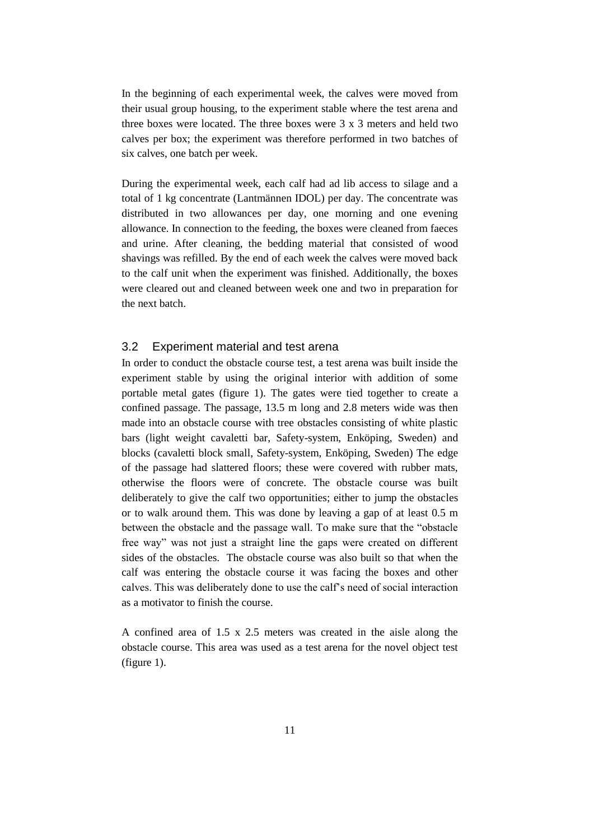In the beginning of each experimental week, the calves were moved from their usual group housing, to the experiment stable where the test arena and three boxes were located. The three boxes were 3 x 3 meters and held two calves per box; the experiment was therefore performed in two batches of six calves, one batch per week.

During the experimental week, each calf had ad lib access to silage and a total of 1 kg concentrate (Lantmännen IDOL) per day. The concentrate was distributed in two allowances per day, one morning and one evening allowance. In connection to the feeding, the boxes were cleaned from faeces and urine. After cleaning, the bedding material that consisted of wood shavings was refilled. By the end of each week the calves were moved back to the calf unit when the experiment was finished. Additionally, the boxes were cleared out and cleaned between week one and two in preparation for the next batch.

#### <span id="page-18-0"></span>3.2 Experiment material and test arena

In order to conduct the obstacle course test, a test arena was built inside the experiment stable by using the original interior with addition of some portable metal gates (figure 1). The gates were tied together to create a confined passage. The passage, 13.5 m long and 2.8 meters wide was then made into an obstacle course with tree obstacles consisting of white plastic bars (light weight cavaletti bar, Safety-system, Enköping, Sweden) and blocks (cavaletti block small, Safety-system, Enköping, Sweden) The edge of the passage had slattered floors; these were covered with rubber mats, otherwise the floors were of concrete. The obstacle course was built deliberately to give the calf two opportunities; either to jump the obstacles or to walk around them. This was done by leaving a gap of at least 0.5 m between the obstacle and the passage wall. To make sure that the "obstacle free way" was not just a straight line the gaps were created on different sides of the obstacles. The obstacle course was also built so that when the calf was entering the obstacle course it was facing the boxes and other calves. This was deliberately done to use the calf's need of social interaction as a motivator to finish the course.

A confined area of 1.5 x 2.5 meters was created in the aisle along the obstacle course. This area was used as a test arena for the novel object test (figure 1).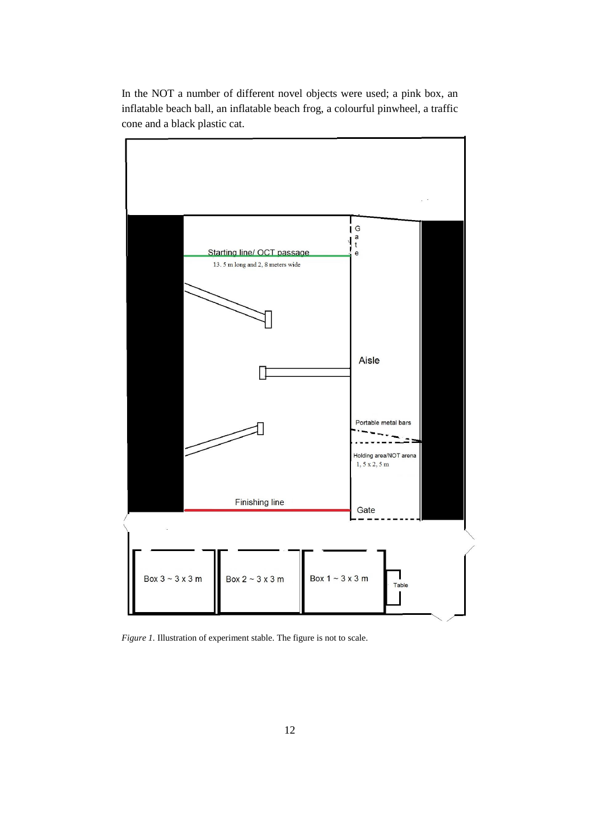In the NOT a number of different novel objects were used; a pink box, an inflatable beach ball, an inflatable beach frog, a colourful pinwheel, a traffic cone and a black plastic cat.



*Figure 1.* Illustration of experiment stable. The figure is not to scale.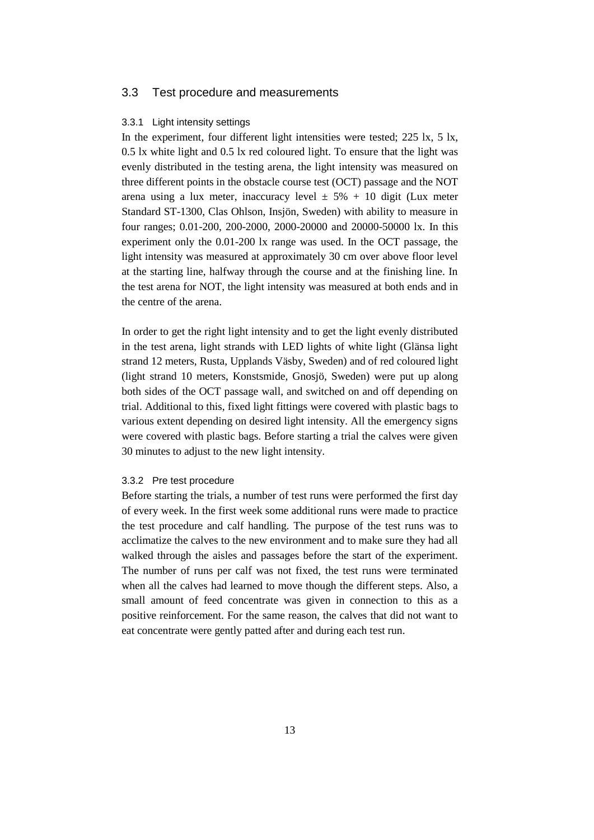#### <span id="page-20-1"></span><span id="page-20-0"></span>3.3 Test procedure and measurements

#### 3.3.1 Light intensity settings

In the experiment, four different light intensities were tested; 225 lx, 5 lx, 0.5 lx white light and 0.5 lx red coloured light. To ensure that the light was evenly distributed in the testing arena, the light intensity was measured on three different points in the obstacle course test (OCT) passage and the NOT arena using a lux meter, inaccuracy level  $\pm$  5% + 10 digit (Lux meter Standard ST-1300, Clas Ohlson, Insjön, Sweden) with ability to measure in four ranges; 0.01-200, 200-2000, 2000-20000 and 20000-50000 lx. In this experiment only the 0.01-200 lx range was used. In the OCT passage, the light intensity was measured at approximately 30 cm over above floor level at the starting line, halfway through the course and at the finishing line. In the test arena for NOT, the light intensity was measured at both ends and in the centre of the arena.

In order to get the right light intensity and to get the light evenly distributed in the test arena, light strands with LED lights of white light (Glänsa light strand 12 meters, Rusta, Upplands Väsby, Sweden) and of red coloured light (light strand 10 meters, Konstsmide, Gnosjö, Sweden) were put up along both sides of the OCT passage wall, and switched on and off depending on trial. Additional to this, fixed light fittings were covered with plastic bags to various extent depending on desired light intensity. All the emergency signs were covered with plastic bags. Before starting a trial the calves were given 30 minutes to adjust to the new light intensity.

#### <span id="page-20-2"></span>3.3.2 Pre test procedure

Before starting the trials, a number of test runs were performed the first day of every week. In the first week some additional runs were made to practice the test procedure and calf handling. The purpose of the test runs was to acclimatize the calves to the new environment and to make sure they had all walked through the aisles and passages before the start of the experiment. The number of runs per calf was not fixed, the test runs were terminated when all the calves had learned to move though the different steps. Also, a small amount of feed concentrate was given in connection to this as a positive reinforcement. For the same reason, the calves that did not want to eat concentrate were gently patted after and during each test run.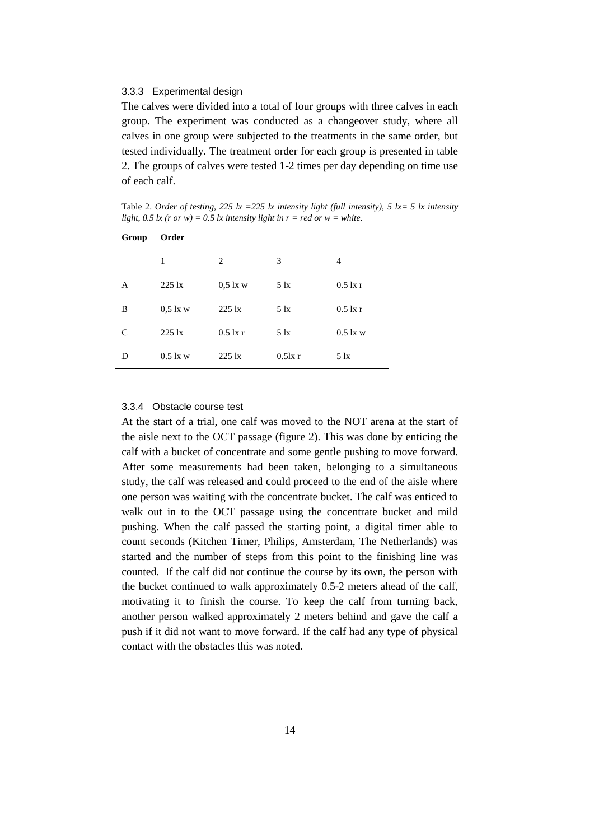#### <span id="page-21-0"></span>3.3.3 Experimental design

The calves were divided into a total of four groups with three calves in each group. The experiment was conducted as a changeover study, where all calves in one group were subjected to the treatments in the same order, but tested individually. The treatment order for each group is presented in table 2. The groups of calves were tested 1-2 times per day depending on time use of each calf.

Table 2. *Order of testing, 225 lx =225 lx intensity light (full intensity), 5 lx = 5 lx intensity light, 0.5 lx (r or w) = 0.5 lx intensity light in r = red or w = white.* 

| Group | Order           |                 |               |               |  |  |  |
|-------|-----------------|-----------------|---------------|---------------|--|--|--|
|       | 1               | 2               | 3             | 4             |  |  |  |
| A     | $225 \text{lx}$ | $0.5$ lx w      | $5 \text{lx}$ | $0.5$ lx r    |  |  |  |
| B     | $0.5$ lx w      | $225 \text{lx}$ | $5 \text{lx}$ | $0.5$ lx r    |  |  |  |
| C     | $225 \text{lx}$ | $0.5$ lx r      | $5 \text{lx}$ | $0.5$ lx w    |  |  |  |
| D     | $0.5$ lx w      | $225 \text{lx}$ | $0.5$ lx r    | $5 \text{lx}$ |  |  |  |

#### <span id="page-21-1"></span>3.3.4 Obstacle course test

At the start of a trial, one calf was moved to the NOT arena at the start of the aisle next to the OCT passage (figure 2). This was done by enticing the calf with a bucket of concentrate and some gentle pushing to move forward. After some measurements had been taken, belonging to a simultaneous study, the calf was released and could proceed to the end of the aisle where one person was waiting with the concentrate bucket. The calf was enticed to walk out in to the OCT passage using the concentrate bucket and mild pushing. When the calf passed the starting point, a digital timer able to count seconds (Kitchen Timer, Philips, Amsterdam, The Netherlands) was started and the number of steps from this point to the finishing line was counted. If the calf did not continue the course by its own, the person with the bucket continued to walk approximately 0.5-2 meters ahead of the calf, motivating it to finish the course. To keep the calf from turning back, another person walked approximately 2 meters behind and gave the calf a push if it did not want to move forward. If the calf had any type of physical contact with the obstacles this was noted.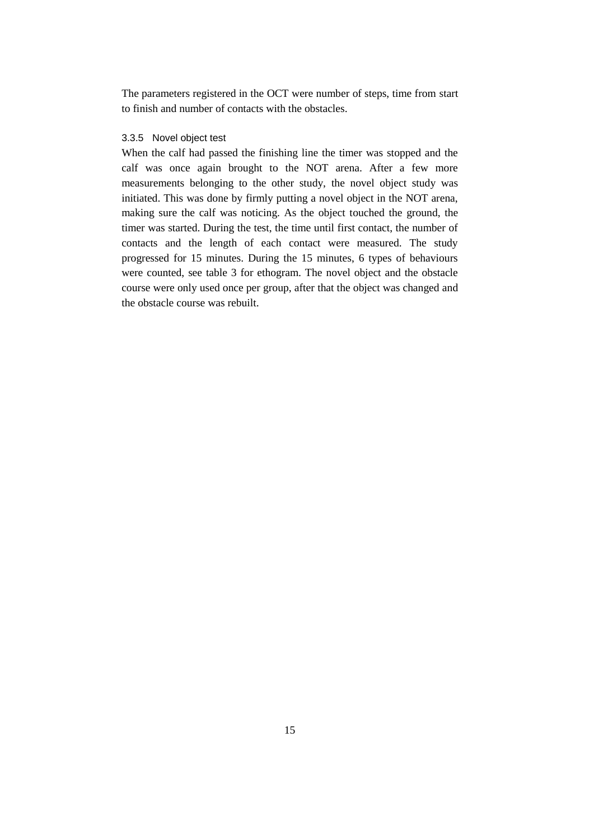The parameters registered in the OCT were number of steps, time from start to finish and number of contacts with the obstacles.

#### <span id="page-22-0"></span>3.3.5 Novel object test

When the calf had passed the finishing line the timer was stopped and the calf was once again brought to the NOT arena. After a few more measurements belonging to the other study, the novel object study was initiated. This was done by firmly putting a novel object in the NOT arena, making sure the calf was noticing. As the object touched the ground, the timer was started. During the test, the time until first contact, the number of contacts and the length of each contact were measured. The study progressed for 15 minutes. During the 15 minutes, 6 types of behaviours were counted, see table 3 for ethogram. The novel object and the obstacle course were only used once per group, after that the object was changed and the obstacle course was rebuilt.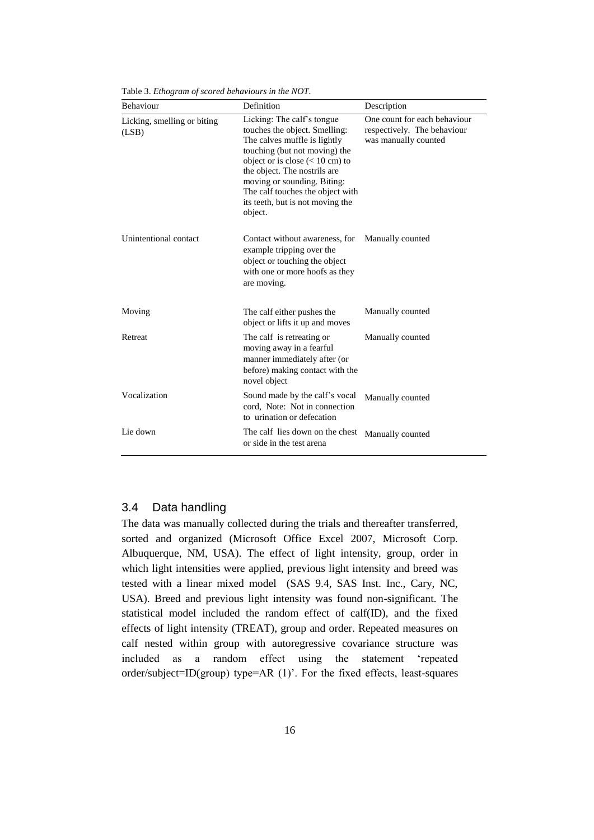| Behaviour                            | Definition                                                                                                                                                                                                                                                                                                          | Description                                                                         |
|--------------------------------------|---------------------------------------------------------------------------------------------------------------------------------------------------------------------------------------------------------------------------------------------------------------------------------------------------------------------|-------------------------------------------------------------------------------------|
| Licking, smelling or biting<br>(LSB) | Licking: The calf's tongue<br>touches the object. Smelling:<br>The calves muffle is lightly<br>touching (but not moving) the<br>object or is close $(< 10$ cm) to<br>the object. The nostrils are<br>moving or sounding. Biting:<br>The calf touches the object with<br>its teeth, but is not moving the<br>object. | One count for each behaviour<br>respectively. The behaviour<br>was manually counted |
| Unintentional contact                | Contact without awareness, for<br>example tripping over the<br>object or touching the object<br>with one or more hoofs as they<br>are moving.                                                                                                                                                                       | Manually counted                                                                    |
| Moving                               | The calf either pushes the<br>object or lifts it up and moves                                                                                                                                                                                                                                                       | Manually counted                                                                    |
| Retreat                              | The calf is retreating or<br>moving away in a fearful<br>manner immediately after (or<br>before) making contact with the<br>novel object                                                                                                                                                                            | Manually counted                                                                    |
| Vocalization                         | Sound made by the calf's vocal<br>cord, Note: Not in connection<br>to urination or defecation                                                                                                                                                                                                                       | Manually counted                                                                    |
| Lie down                             | The calf lies down on the chest<br>or side in the test arena                                                                                                                                                                                                                                                        | Manually counted                                                                    |

Table 3. *Ethogram of scored behaviours in the NOT.*

#### <span id="page-23-0"></span>3.4 Data handling

The data was manually collected during the trials and thereafter transferred, sorted and organized (Microsoft Office Excel 2007, Microsoft Corp. Albuquerque, NM, USA). The effect of light intensity, group, order in which light intensities were applied, previous light intensity and breed was tested with a linear mixed model (SAS 9.4, SAS Inst. Inc., Cary, NC, USA). Breed and previous light intensity was found non-significant. The statistical model included the random effect of calf(ID), and the fixed effects of light intensity (TREAT), group and order. Repeated measures on calf nested within group with autoregressive covariance structure was included as a random effect using the statement 'repeated order/subject=ID(group) type=AR (1)'. For the fixed effects, least-squares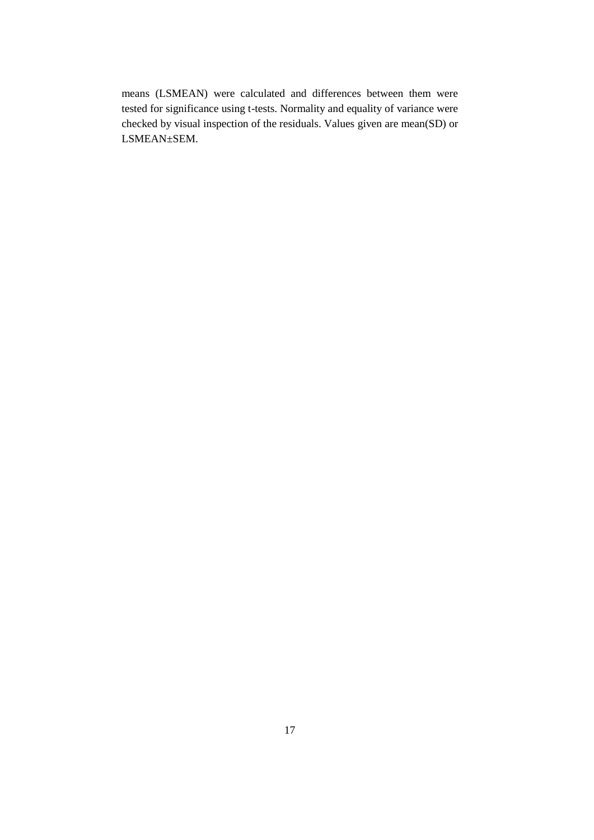means (LSMEAN) were calculated and differences between them were tested for significance using t-tests. Normality and equality of variance were checked by visual inspection of the residuals. Values given are mean(SD) or LSMEAN±SEM.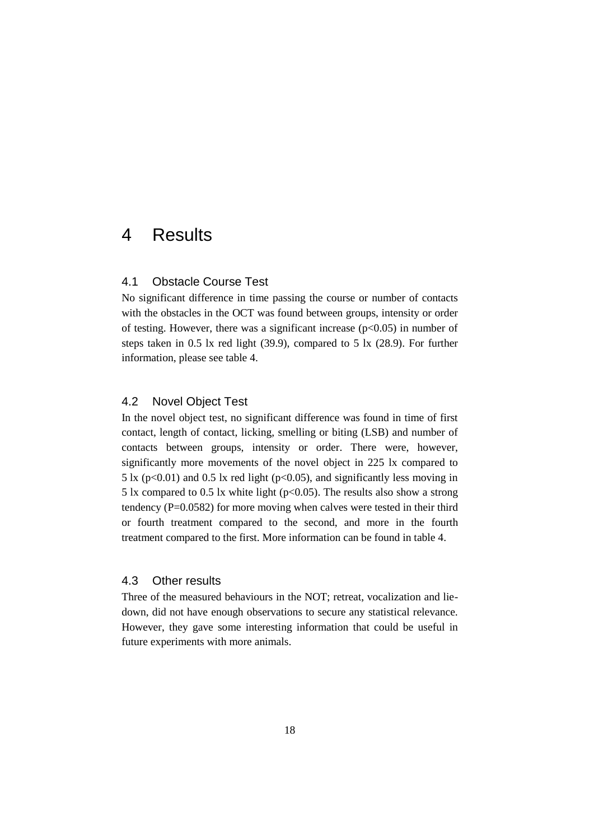### <span id="page-25-1"></span><span id="page-25-0"></span>4 Results

#### 4.1 Obstacle Course Test

No significant difference in time passing the course or number of contacts with the obstacles in the OCT was found between groups, intensity or order of testing. However, there was a significant increase  $(p<0.05)$  in number of steps taken in 0.5 lx red light (39.9), compared to 5 lx (28.9). For further information, please see table 4.

#### <span id="page-25-2"></span>4.2 Novel Object Test

In the novel object test, no significant difference was found in time of first contact, length of contact, licking, smelling or biting (LSB) and number of contacts between groups, intensity or order. There were, however, significantly more movements of the novel object in 225 lx compared to 5 lx ( $p<0.01$ ) and 0.5 lx red light ( $p<0.05$ ), and significantly less moving in 5 lx compared to 0.5 lx white light ( $p<0.05$ ). The results also show a strong tendency ( $P=0.0582$ ) for more moving when calves were tested in their third or fourth treatment compared to the second, and more in the fourth treatment compared to the first. More information can be found in table 4.

#### <span id="page-25-3"></span>4.3 Other results

Three of the measured behaviours in the NOT; retreat, vocalization and liedown, did not have enough observations to secure any statistical relevance. However, they gave some interesting information that could be useful in future experiments with more animals.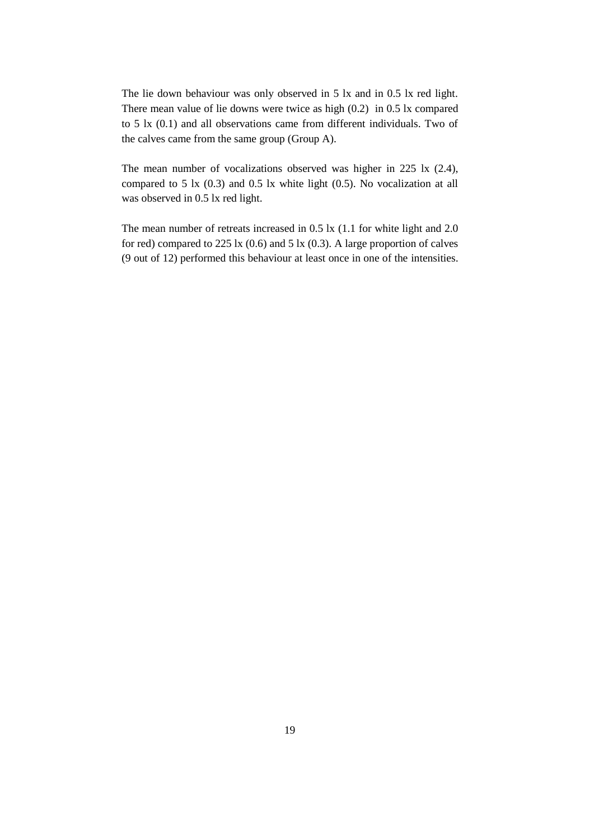The lie down behaviour was only observed in 5 lx and in 0.5 lx red light. There mean value of lie downs were twice as high (0.2) in 0.5 lx compared to 5 lx (0.1) and all observations came from different individuals. Two of the calves came from the same group (Group A).

The mean number of vocalizations observed was higher in 225 lx (2.4), compared to 5 lx (0.3) and 0.5 lx white light (0.5). No vocalization at all was observed in 0.5 lx red light.

The mean number of retreats increased in 0.5 lx (1.1 for white light and 2.0 for red) compared to  $225 \text{ lx} (0.6)$  and  $5 \text{ lx} (0.3)$ . A large proportion of calves (9 out of 12) performed this behaviour at least once in one of the intensities.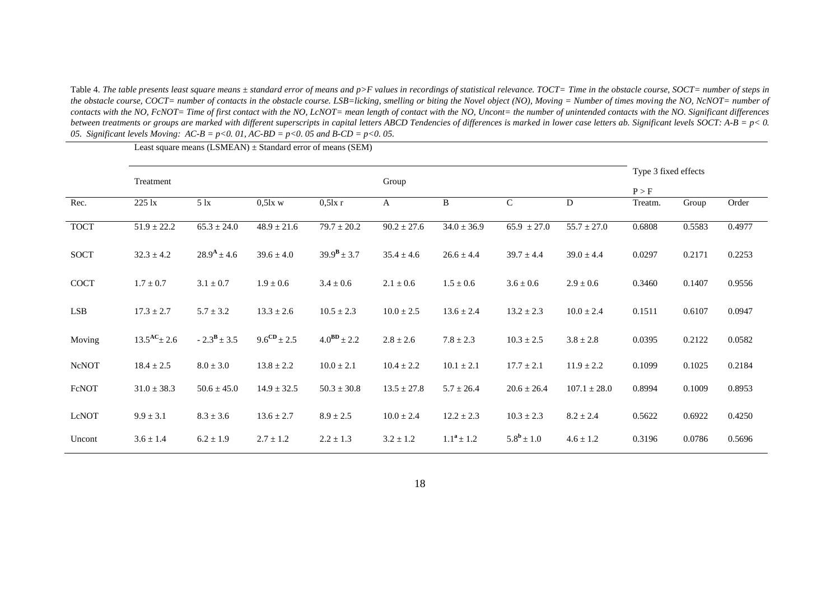Table 4. The table presents least square means ± standard error of means and p>F values in recordings of statistical relevance. TOCT= Time in the obstacle course, SOCT= number of steps in *the obstacle course, COCT= number of contacts in the obstacle course. LSB=licking, smelling or biting the Novel object (NO), Moving = Number of times moving the NO, NcNOT= number of*  contacts with the NO, FcNOT= Time of first contact with the NO, LcNOT= mean length of contact with the NO, Uncont= the number of unintended contacts with the NO. Significant differences *between treatments or groups are marked with different superscripts in capital letters ABCD Tendencies of differences is marked in lower case letters ab. Significant levels SOCT: A-B = p< 0. 05. Significant levels Moving: AC-B = p<0. 01, AC-BD = p<0. 05 and B-CD = p<0. 05.*

|              | Treatment                  |                        |                  |                        | Group           |                 |                       | Type 3 fixed effects |         |        |        |
|--------------|----------------------------|------------------------|------------------|------------------------|-----------------|-----------------|-----------------------|----------------------|---------|--------|--------|
|              |                            |                        |                  |                        |                 |                 |                       |                      | P > F   |        |        |
| Rec.         | 225 lx                     | $5 \text{lx}$          | $0.5$ lx w       | $0,5$ lx r             | A               | B               | $\mathsf{C}$          | ${\bf D}$            | Treatm. | Group  | Order  |
| <b>TOCT</b>  | $51.9 \pm 22.2$            | $65.3 \pm 24.0$        | $48.9 \pm 21.6$  | $79.7 \pm 20.2$        | $90.2 \pm 27.6$ | $34.0 \pm 36.9$ | $65.9 \pm 27.0$       | $55.7 \pm 27.0$      | 0.6808  | 0.5583 | 0.4977 |
| <b>SOCT</b>  | $32.3 \pm 4.2$             | $28.9^{\rm A} \pm 4.6$ | $39.6 \pm 4.0$   | $39.9^{\rm B} \pm 3.7$ | $35.4 \pm 4.6$  | $26.6 \pm 4.4$  | $39.7 \pm 4.4$        | $39.0 \pm 4.4$       | 0.0297  | 0.2171 | 0.2253 |
| <b>COCT</b>  | $1.7 \pm 0.7$              | $3.1 \pm 0.7$          | $1.9 \pm 0.6$    | $3.4 \pm 0.6$          | $2.1 \pm 0.6$   | $1.5 \pm 0.6$   | $3.6 \pm 0.6$         | $2.9 \pm 0.6$        | 0.3460  | 0.1407 | 0.9556 |
| <b>LSB</b>   | $17.3 \pm 2.7$             | $5.7 \pm 3.2$          | $13.3 \pm 2.6$   | $10.5 \pm 2.3$         | $10.0 \pm 2.5$  | $13.6 \pm 2.4$  | $13.2 \pm 2.3$        | $10.0 \pm 2.4$       | 0.1511  | 0.6107 | 0.0947 |
| Moving       | $13.5^{\text{AC}} \pm 2.6$ | $-2.3^{\rm B} \pm 3.5$ | $9.6^{CD}$ ± 2.5 | $4.0^{BD} \pm 2.2$     | $2.8 \pm 2.6$   | $7.8 \pm 2.3$   | $10.3 \pm 2.5$        | $3.8 \pm 2.8$        | 0.0395  | 0.2122 | 0.0582 |
| <b>NcNOT</b> | $18.4 \pm 2.5$             | $8.0 \pm 3.0$          | $13.8 \pm 2.2$   | $10.0 \pm 2.1$         | $10.4 \pm 2.2$  | $10.1 \pm 2.1$  | $17.7 \pm 2.1$        | $11.9 \pm 2.2$       | 0.1099  | 0.1025 | 0.2184 |
| FcNOT        | $31.0 \pm 38.3$            | $50.6 \pm 45.0$        | $14.9 \pm 32.5$  | $50.3 \pm 30.8$        | $13.5 \pm 27.8$ | $5.7 \pm 26.4$  | $20.6 \pm 26.4$       | $107.1 \pm 28.0$     | 0.8994  | 0.1009 | 0.8953 |
| LcNOT        | $9.9 \pm 3.1$              | $8.3 \pm 3.6$          | $13.6 \pm 2.7$   | $8.9 \pm 2.5$          | $10.0 \pm 2.4$  | $12.2 \pm 2.3$  | $10.3 \pm 2.3$        | $8.2 \pm 2.4$        | 0.5622  | 0.6922 | 0.4250 |
| Uncont       | $3.6 \pm 1.4$              | $6.2 \pm 1.9$          | $2.7 \pm 1.2$    | $2.2 \pm 1.3$          | $3.2 \pm 1.2$   | $1.1^a \pm 1.2$ | $5.8^{\rm b} \pm 1.0$ | $4.6 \pm 1.2$        | 0.3196  | 0.0786 | 0.5696 |

Least square means  $(LSMEAN) \pm Standard$  error of means  $(SEM)$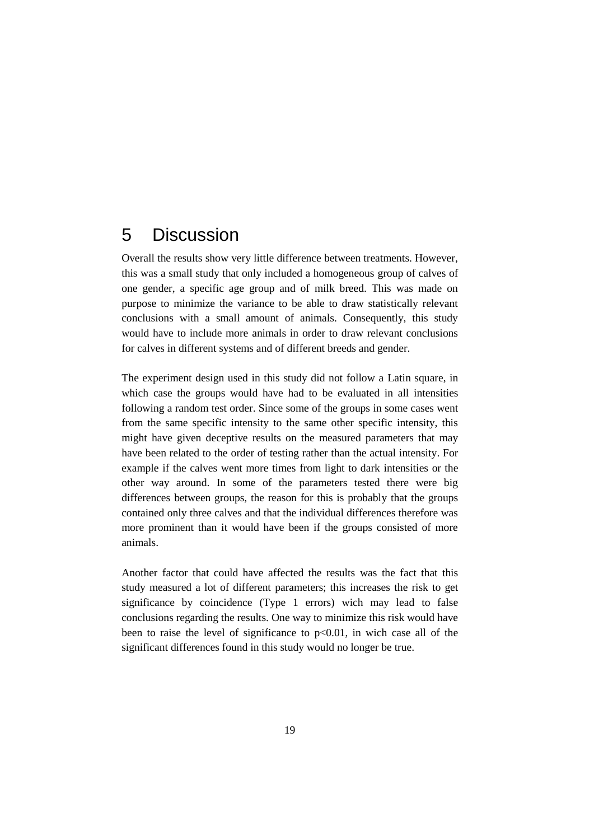## <span id="page-28-0"></span>5 Discussion

Overall the results show very little difference between treatments. However, this was a small study that only included a homogeneous group of calves of one gender, a specific age group and of milk breed. This was made on purpose to minimize the variance to be able to draw statistically relevant conclusions with a small amount of animals. Consequently, this study would have to include more animals in order to draw relevant conclusions for calves in different systems and of different breeds and gender.

The experiment design used in this study did not follow a Latin square, in which case the groups would have had to be evaluated in all intensities following a random test order. Since some of the groups in some cases went from the same specific intensity to the same other specific intensity, this might have given deceptive results on the measured parameters that may have been related to the order of testing rather than the actual intensity. For example if the calves went more times from light to dark intensities or the other way around. In some of the parameters tested there were big differences between groups, the reason for this is probably that the groups contained only three calves and that the individual differences therefore was more prominent than it would have been if the groups consisted of more animals.

Another factor that could have affected the results was the fact that this study measured a lot of different parameters; this increases the risk to get significance by coincidence (Type 1 errors) wich may lead to false conclusions regarding the results. One way to minimize this risk would have been to raise the level of significance to  $p<0.01$ , in wich case all of the significant differences found in this study would no longer be true.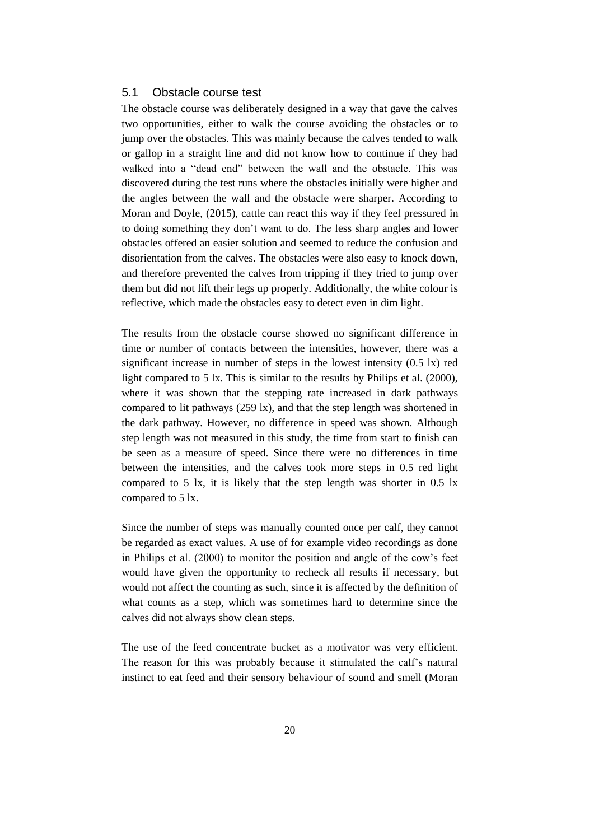#### <span id="page-29-0"></span>5.1 Obstacle course test

The obstacle course was deliberately designed in a way that gave the calves two opportunities, either to walk the course avoiding the obstacles or to jump over the obstacles. This was mainly because the calves tended to walk or gallop in a straight line and did not know how to continue if they had walked into a "dead end" between the wall and the obstacle. This was discovered during the test runs where the obstacles initially were higher and the angles between the wall and the obstacle were sharper. According to Moran and Doyle, (2015), cattle can react this way if they feel pressured in to doing something they don't want to do. The less sharp angles and lower obstacles offered an easier solution and seemed to reduce the confusion and disorientation from the calves. The obstacles were also easy to knock down, and therefore prevented the calves from tripping if they tried to jump over them but did not lift their legs up properly. Additionally, the white colour is reflective, which made the obstacles easy to detect even in dim light.

The results from the obstacle course showed no significant difference in time or number of contacts between the intensities, however, there was a significant increase in number of steps in the lowest intensity (0.5 lx) red light compared to 5 lx. This is similar to the results by Philips et al. (2000), where it was shown that the stepping rate increased in dark pathways compared to lit pathways (259 lx), and that the step length was shortened in the dark pathway. However, no difference in speed was shown. Although step length was not measured in this study, the time from start to finish can be seen as a measure of speed. Since there were no differences in time between the intensities, and the calves took more steps in 0.5 red light compared to 5 lx, it is likely that the step length was shorter in 0.5 lx compared to 5 lx.

Since the number of steps was manually counted once per calf, they cannot be regarded as exact values. A use of for example video recordings as done in Philips et al. (2000) to monitor the position and angle of the cow's feet would have given the opportunity to recheck all results if necessary, but would not affect the counting as such, since it is affected by the definition of what counts as a step, which was sometimes hard to determine since the calves did not always show clean steps.

The use of the feed concentrate bucket as a motivator was very efficient. The reason for this was probably because it stimulated the calf's natural instinct to eat feed and their sensory behaviour of sound and smell (Moran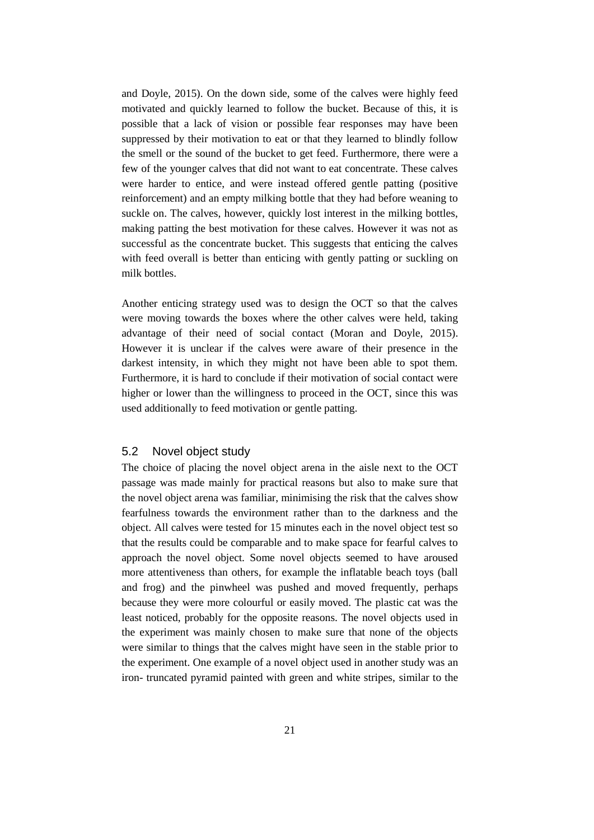and Doyle, 2015). On the down side, some of the calves were highly feed motivated and quickly learned to follow the bucket. Because of this, it is possible that a lack of vision or possible fear responses may have been suppressed by their motivation to eat or that they learned to blindly follow the smell or the sound of the bucket to get feed. Furthermore, there were a few of the younger calves that did not want to eat concentrate. These calves were harder to entice, and were instead offered gentle patting (positive reinforcement) and an empty milking bottle that they had before weaning to suckle on. The calves, however, quickly lost interest in the milking bottles, making patting the best motivation for these calves. However it was not as successful as the concentrate bucket. This suggests that enticing the calves with feed overall is better than enticing with gently patting or suckling on milk bottles.

Another enticing strategy used was to design the OCT so that the calves were moving towards the boxes where the other calves were held, taking advantage of their need of social contact (Moran and Doyle, 2015). However it is unclear if the calves were aware of their presence in the darkest intensity, in which they might not have been able to spot them. Furthermore, it is hard to conclude if their motivation of social contact were higher or lower than the willingness to proceed in the OCT, since this was used additionally to feed motivation or gentle patting.

#### <span id="page-30-0"></span>5.2 Novel object study

The choice of placing the novel object arena in the aisle next to the OCT passage was made mainly for practical reasons but also to make sure that the novel object arena was familiar, minimising the risk that the calves show fearfulness towards the environment rather than to the darkness and the object. All calves were tested for 15 minutes each in the novel object test so that the results could be comparable and to make space for fearful calves to approach the novel object. Some novel objects seemed to have aroused more attentiveness than others, for example the inflatable beach toys (ball and frog) and the pinwheel was pushed and moved frequently, perhaps because they were more colourful or easily moved. The plastic cat was the least noticed, probably for the opposite reasons. The novel objects used in the experiment was mainly chosen to make sure that none of the objects were similar to things that the calves might have seen in the stable prior to the experiment. One example of a novel object used in another study was an iron- truncated pyramid painted with green and white stripes, similar to the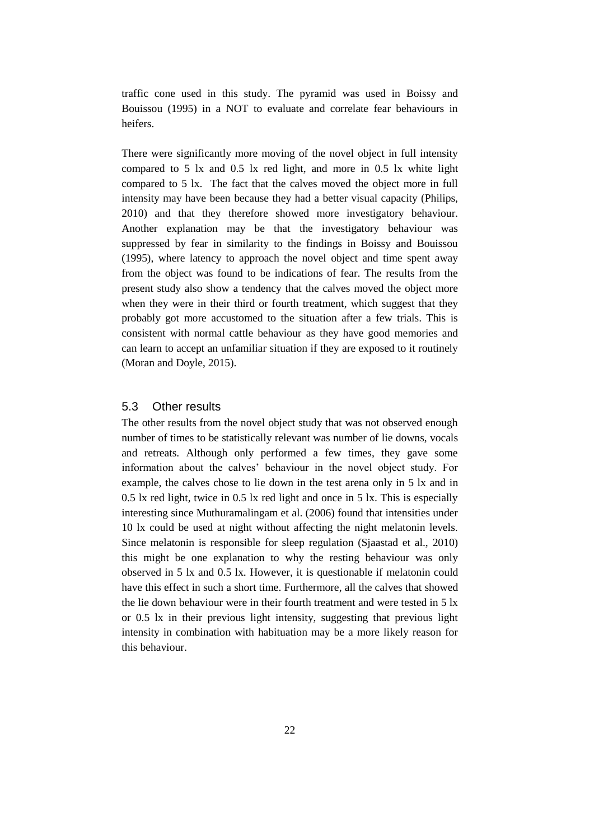traffic cone used in this study. The pyramid was used in Boissy and Bouissou (1995) in a NOT to evaluate and correlate fear behaviours in heifers.

There were significantly more moving of the novel object in full intensity compared to 5 lx and 0.5 lx red light, and more in 0.5 lx white light compared to 5 lx. The fact that the calves moved the object more in full intensity may have been because they had a better visual capacity (Philips, 2010) and that they therefore showed more investigatory behaviour. Another explanation may be that the investigatory behaviour was suppressed by fear in similarity to the findings in Boissy and Bouissou (1995), where latency to approach the novel object and time spent away from the object was found to be indications of fear. The results from the present study also show a tendency that the calves moved the object more when they were in their third or fourth treatment, which suggest that they probably got more accustomed to the situation after a few trials. This is consistent with normal cattle behaviour as they have good memories and can learn to accept an unfamiliar situation if they are exposed to it routinely (Moran and Doyle, 2015).

#### <span id="page-31-0"></span>5.3 Other results

The other results from the novel object study that was not observed enough number of times to be statistically relevant was number of lie downs, vocals and retreats. Although only performed a few times, they gave some information about the calves' behaviour in the novel object study. For example, the calves chose to lie down in the test arena only in 5 lx and in 0.5 lx red light, twice in 0.5 lx red light and once in 5 lx. This is especially interesting since Muthuramalingam et al. (2006) found that intensities under 10 lx could be used at night without affecting the night melatonin levels. Since melatonin is responsible for sleep regulation (Sjaastad et al., 2010) this might be one explanation to why the resting behaviour was only observed in 5 lx and 0.5 lx. However, it is questionable if melatonin could have this effect in such a short time. Furthermore, all the calves that showed the lie down behaviour were in their fourth treatment and were tested in 5 lx or 0.5 lx in their previous light intensity, suggesting that previous light intensity in combination with habituation may be a more likely reason for this behaviour.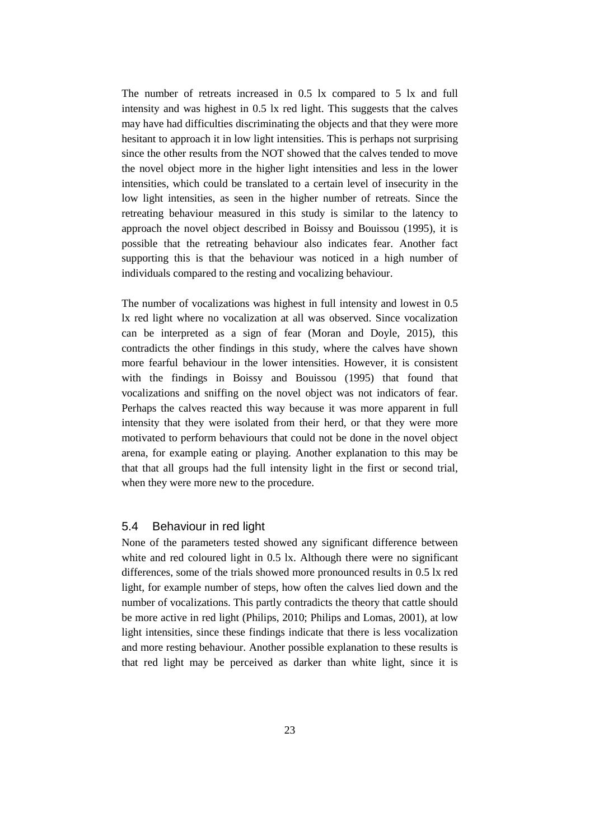The number of retreats increased in 0.5 lx compared to 5 lx and full intensity and was highest in 0.5 lx red light. This suggests that the calves may have had difficulties discriminating the objects and that they were more hesitant to approach it in low light intensities. This is perhaps not surprising since the other results from the NOT showed that the calves tended to move the novel object more in the higher light intensities and less in the lower intensities, which could be translated to a certain level of insecurity in the low light intensities, as seen in the higher number of retreats. Since the retreating behaviour measured in this study is similar to the latency to approach the novel object described in Boissy and Bouissou (1995), it is possible that the retreating behaviour also indicates fear. Another fact supporting this is that the behaviour was noticed in a high number of individuals compared to the resting and vocalizing behaviour.

The number of vocalizations was highest in full intensity and lowest in 0.5 lx red light where no vocalization at all was observed. Since vocalization can be interpreted as a sign of fear (Moran and Doyle, 2015), this contradicts the other findings in this study, where the calves have shown more fearful behaviour in the lower intensities. However, it is consistent with the findings in Boissy and Bouissou (1995) that found that vocalizations and sniffing on the novel object was not indicators of fear. Perhaps the calves reacted this way because it was more apparent in full intensity that they were isolated from their herd, or that they were more motivated to perform behaviours that could not be done in the novel object arena, for example eating or playing. Another explanation to this may be that that all groups had the full intensity light in the first or second trial, when they were more new to the procedure.

#### <span id="page-32-0"></span>5.4 Behaviour in red light

None of the parameters tested showed any significant difference between white and red coloured light in 0.5 lx. Although there were no significant differences, some of the trials showed more pronounced results in 0.5 lx red light, for example number of steps, how often the calves lied down and the number of vocalizations. This partly contradicts the theory that cattle should be more active in red light (Philips, 2010; Philips and Lomas, 2001), at low light intensities, since these findings indicate that there is less vocalization and more resting behaviour. Another possible explanation to these results is that red light may be perceived as darker than white light, since it is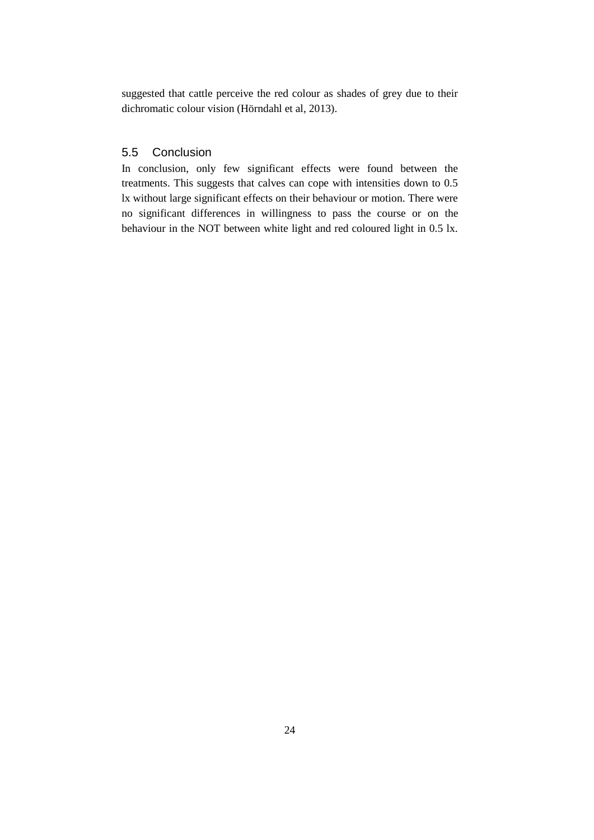<span id="page-33-0"></span>suggested that cattle perceive the red colour as shades of grey due to their dichromatic colour vision (Hörndahl et al, 2013).

#### 5.5 Conclusion

In conclusion, only few significant effects were found between the treatments. This suggests that calves can cope with intensities down to 0.5 lx without large significant effects on their behaviour or motion. There were no significant differences in willingness to pass the course or on the behaviour in the NOT between white light and red coloured light in 0.5 lx.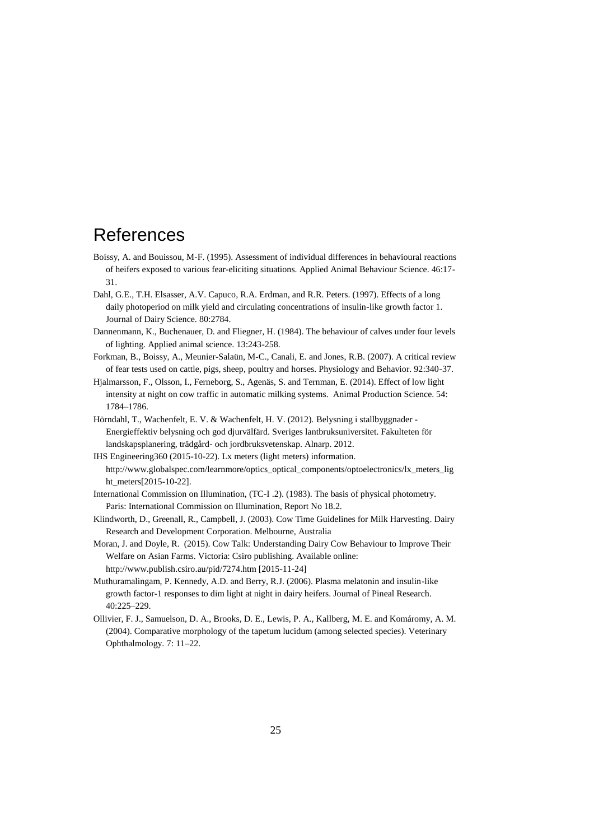### <span id="page-34-0"></span>References

- Boissy, A. and Bouissou, M-F. (1995). Assessment of individual differences in behavioural reactions of heifers exposed to various fear-eliciting situations. Applied Animal Behaviour Science. 46:17- 31.
- Dahl, G.E., T.H. Elsasser, A.V. Capuco, R.A. Erdman, and R.R. Peters. (1997). Effects of a long daily photoperiod on milk yield and circulating concentrations of insulin-like growth factor 1. Journal of Dairy Science. 80:2784.
- Dannenmann, K., Buchenauer, D. and Fliegner, H. (1984). The behaviour of calves under four levels of lighting. Applied animal science. 13:243-258.
- Forkman, B., Boissy, A., Meunier-Salaün, M-C., Canali, E. and Jones, R.B. (2007). A critical review of fear tests used on cattle, pigs, sheep, poultry and horses. Physiology and Behavior. 92:340-37.
- Hjalmarsson, F., Olsson, I., Ferneborg, S., Agenäs, S. and Ternman, E. (2014). Effect of low light intensity at night on cow traffic in automatic milking systems. Animal Production Science. 54: 1784–1786.
- Hörndahl, T., Wachenfelt, E. V. & Wachenfelt, H. V. (2012). Belysning i stallbyggnader Energieffektiv belysning och god djurvälfärd. Sveriges lantbruksuniversitet. Fakulteten för landskapsplanering, trädgård- och jordbruksvetenskap. Alnarp. 2012.
- IHS Engineering360 (2015-10-22). Lx meters (light meters) information. http://www.globalspec.com/learnmore/optics\_optical\_components/optoelectronics/lx\_meters\_lig ht\_meters[2015-10-22].
- International Commission on Illumination, (TC-I .2). (1983). The basis of physical photometry. Paris: International Commission on Illumination, Report No 18.2.
- Klindworth, D., Greenall, R., Campbell, J. (2003). Cow Time Guidelines for Milk Harvesting. Dairy Research and Development Corporation. Melbourne, Australia
- Moran, J. and Doyle, R. (2015). Cow Talk: Understanding Dairy Cow Behaviour to Improve Their Welfare on Asian Farms. Victoria: Csiro publishing. Available online: http://www.publish.csiro.au/pid/7274.htm [2015-11-24]
- Muthuramalingam, P. Kennedy, A.D. and Berry, R.J. (2006). Plasma melatonin and insulin-like growth factor-1 responses to dim light at night in dairy heifers. Journal of Pineal Research. 40:225–229.
- Ollivier, F. J., Samuelson, D. A., Brooks, D. E., Lewis, P. A., Kallberg, M. E. and Komáromy, A. M. (2004). Comparative morphology of the tapetum lucidum (among selected species). Veterinary Ophthalmology. 7: 11–22.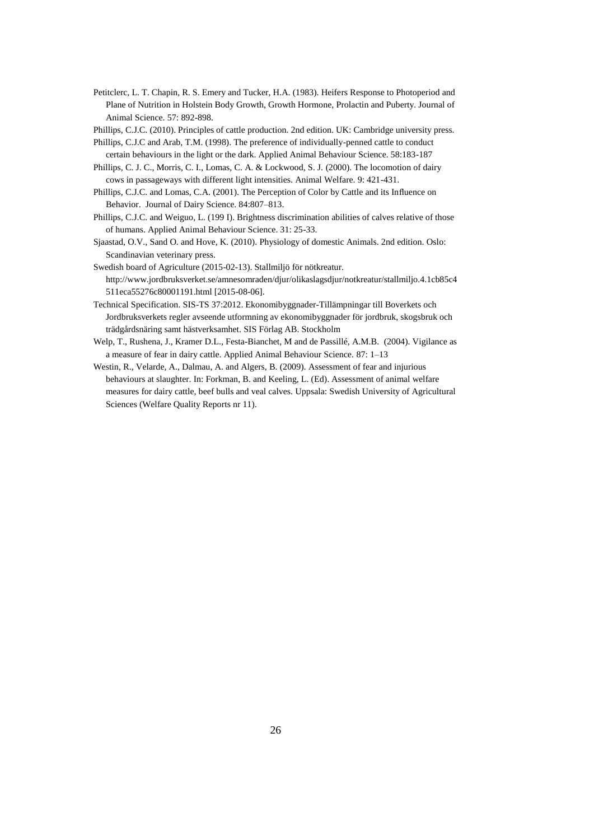- Petitclerc, L. T. Chapin, R. S. Emery and Tucker, H.A. (1983). Heifers Response to Photoperiod and Plane of Nutrition in Holstein Body Growth, Growth Hormone, Prolactin and Puberty. Journal of Animal Science. 57: 892-898.
- Phillips, C.J.C. (2010). Principles of cattle production. 2nd edition. UK: Cambridge university press.
- Phillips, C.J.C and Arab, T.M. (1998). The preference of individually-penned cattle to conduct certain behaviours in the light or the dark. Applied Animal Behaviour Science. 58:183-187
- Phillips, C. J. C., Morris, C. I., Lomas, C. A. & Lockwood, S. J. (2000). The locomotion of dairy cows in passageways with different light intensities. Animal Welfare. 9: 421-431.
- Phillips, C.J.C. and Lomas, C.A. (2001). The Perception of Color by Cattle and its Influence on Behavior. Journal of Dairy Science. 84:807–813.
- Phillips, C.J.C. and Weiguo, L. (199 I). Brightness discrimination abilities of calves relative of those of humans. Applied Animal Behaviour Science. 31: 25-33.
- Sjaastad, O.V., Sand O. and Hove, K. (2010). Physiology of domestic Animals. 2nd edition. Oslo: Scandinavian veterinary press.
- Swedish board of Agriculture (2015-02-13). Stallmiljö för nötkreatur. http://www.jordbruksverket.se/amnesomraden/djur/olikaslagsdjur/notkreatur/stallmiljo.4.1cb85c4 511eca55276c80001191.html [2015-08-06].
- Technical Specification. SIS-TS 37:2012. Ekonomibyggnader-Tillämpningar till Boverkets och Jordbruksverkets regler avseende utformning av ekonomibyggnader för jordbruk, skogsbruk och trädgårdsnäring samt hästverksamhet. SIS Förlag AB. Stockholm
- Welp, T., Rushena, J., Kramer D.L., Festa-Bianchet, M and de Passillé, A.M.B. (2004). Vigilance as a measure of fear in dairy cattle. Applied Animal Behaviour Science. 87: 1–13
- Westin, R., Velarde, A., Dalmau, A. and Algers, B. (2009). Assessment of fear and injurious behaviours at slaughter. In: Forkman, B. and Keeling, L. (Ed). Assessment of animal welfare measures for dairy cattle, beef bulls and veal calves. Uppsala: Swedish University of Agricultural Sciences (Welfare Quality Reports nr 11).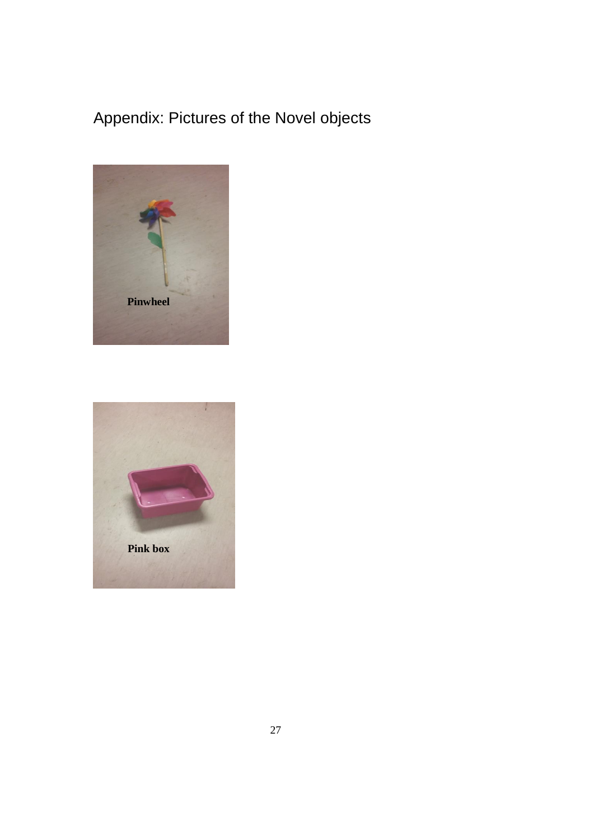# <span id="page-36-0"></span>Appendix: Pictures of the Novel objects



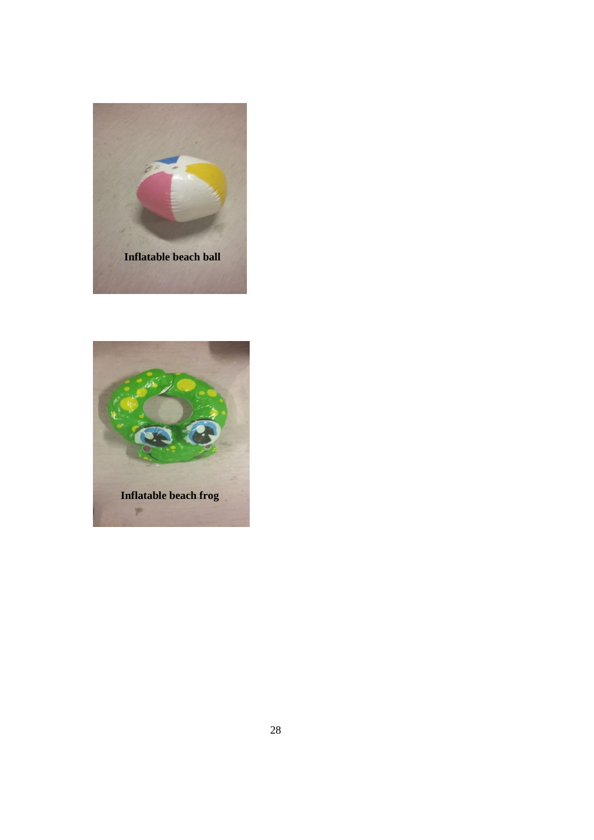

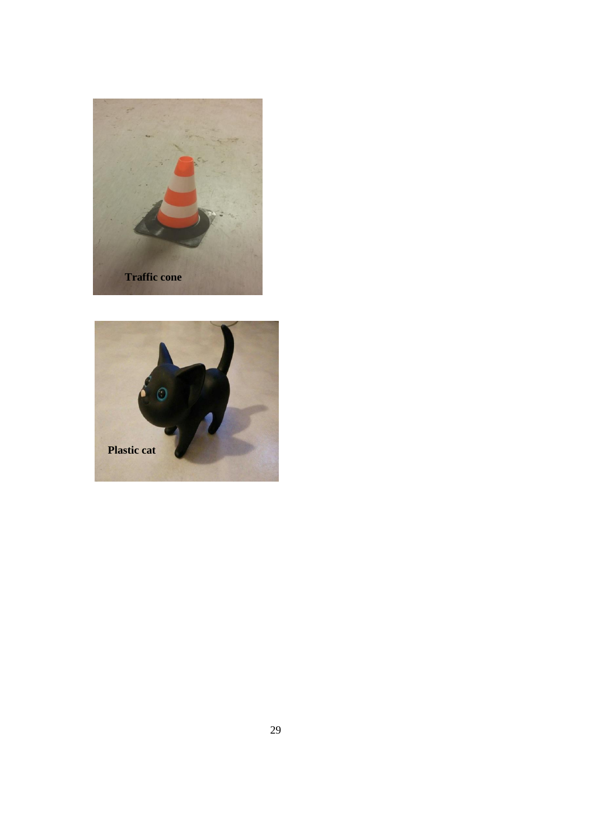